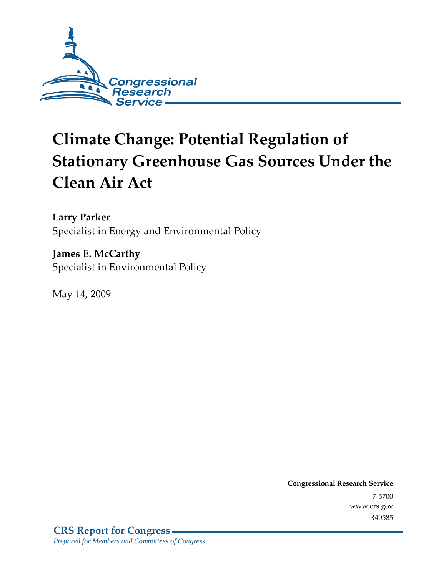

# **Climate Change: Potential Regulation of Stationary Greenhouse Gas Sources Under the Clean Air Act**

**Larry Parker**  Specialist in Energy and Environmental Policy

**James E. McCarthy**  Specialist in Environmental Policy

May 14, 2009

**Congressional Research Service** 7-5700 www.crs.gov R40585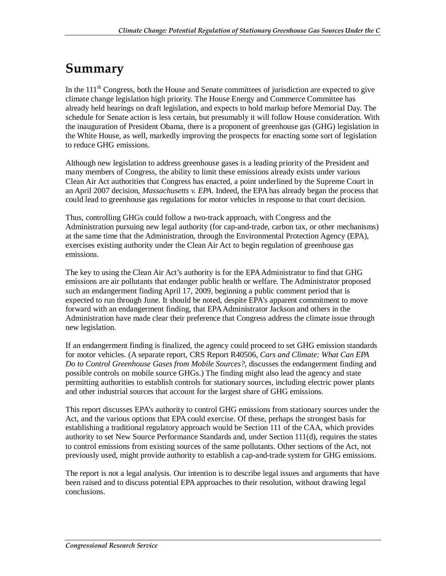## **Summary**

In the  $111<sup>th</sup>$  Congress, both the House and Senate committees of jurisdiction are expected to give climate change legislation high priority. The House Energy and Commerce Committee has already held hearings on draft legislation, and expects to hold markup before Memorial Day. The schedule for Senate action is less certain, but presumably it will follow House consideration. With the inauguration of President Obama, there is a proponent of greenhouse gas (GHG) legislation in the White House, as well, markedly improving the prospects for enacting some sort of legislation to reduce GHG emissions.

Although new legislation to address greenhouse gases is a leading priority of the President and many members of Congress, the ability to limit these emissions already exists under various Clean Air Act authorities that Congress has enacted, a point underlined by the Supreme Court in an April 2007 decision, *Massachusetts v. EPA*. Indeed, the EPA has already began the process that could lead to greenhouse gas regulations for motor vehicles in response to that court decision.

Thus, controlling GHGs could follow a two-track approach, with Congress and the Administration pursuing new legal authority (for cap-and-trade, carbon tax, or other mechanisms) at the same time that the Administration, through the Environmental Protection Agency (EPA), exercises existing authority under the Clean Air Act to begin regulation of greenhouse gas emissions.

The key to using the Clean Air Act's authority is for the EPA Administrator to find that GHG emissions are air pollutants that endanger public health or welfare. The Administrator proposed such an endangerment finding April 17, 2009, beginning a public comment period that is expected to run through June. It should be noted, despite EPA's apparent commitment to move forward with an endangerment finding, that EPA Administrator Jackson and others in the Administration have made clear their preference that Congress address the climate issue through new legislation.

If an endangerment finding is finalized, the agency could proceed to set GHG emission standards for motor vehicles. (A separate report, CRS Report R40506, *Cars and Climate: What Can EPA Do to Control Greenhouse Gases from Mobile Sources?*, discusses the endangerment finding and possible controls on mobile source GHGs.) The finding might also lead the agency and state permitting authorities to establish controls for stationary sources, including electric power plants and other industrial sources that account for the largest share of GHG emissions.

This report discusses EPA's authority to control GHG emissions from stationary sources under the Act, and the various options that EPA could exercise. Of these, perhaps the strongest basis for establishing a traditional regulatory approach would be Section 111 of the CAA, which provides authority to set New Source Performance Standards and, under Section 111(d), requires the states to control emissions from existing sources of the same pollutants. Other sections of the Act, not previously used, might provide authority to establish a cap-and-trade system for GHG emissions.

The report is not a legal analysis. Our intention is to describe legal issues and arguments that have been raised and to discuss potential EPA approaches to their resolution, without drawing legal conclusions.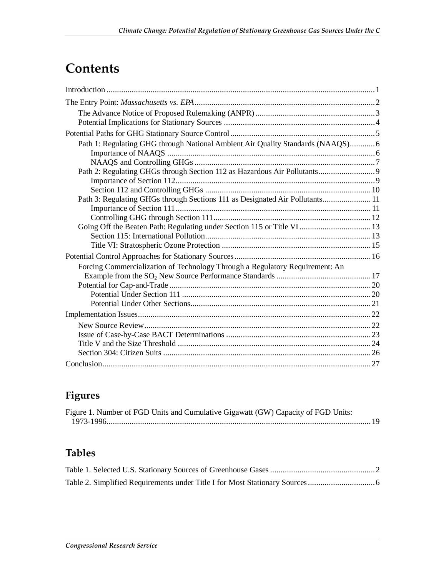## **Contents**

| Path 1: Regulating GHG through National Ambient Air Quality Standards (NAAQS)6 |
|--------------------------------------------------------------------------------|
|                                                                                |
|                                                                                |
|                                                                                |
|                                                                                |
|                                                                                |
| Path 3: Regulating GHGs through Sections 111 as Designated Air Pollutants 11   |
|                                                                                |
|                                                                                |
| Going Off the Beaten Path: Regulating under Section 115 or Title VI 13         |
|                                                                                |
|                                                                                |
|                                                                                |
| Forcing Commercialization of Technology Through a Regulatory Requirement: An   |
|                                                                                |
|                                                                                |
|                                                                                |
|                                                                                |
|                                                                                |
|                                                                                |
|                                                                                |
|                                                                                |
|                                                                                |
|                                                                                |

## **Figures**

| Figure 1. Number of FGD Units and Cumulative Gigawatt (GW) Capacity of FGD Units: |  |
|-----------------------------------------------------------------------------------|--|
|                                                                                   |  |

## **Tables**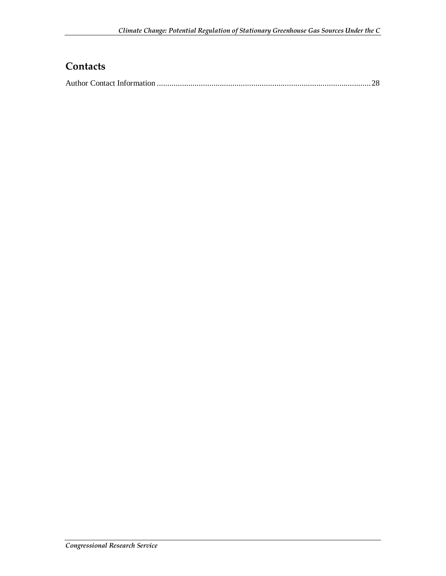## **Contacts**

|--|--|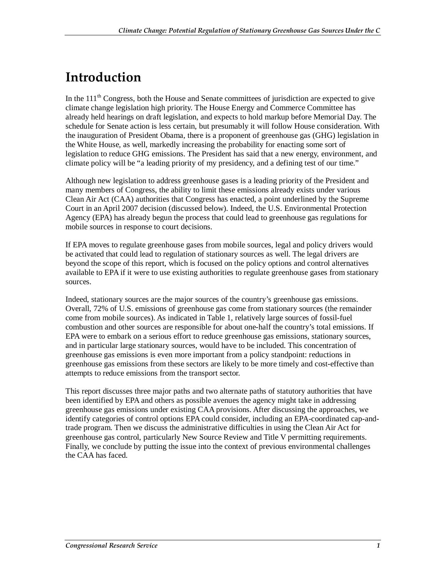## **Introduction**

In the  $111<sup>th</sup>$  Congress, both the House and Senate committees of jurisdiction are expected to give climate change legislation high priority. The House Energy and Commerce Committee has already held hearings on draft legislation, and expects to hold markup before Memorial Day. The schedule for Senate action is less certain, but presumably it will follow House consideration. With the inauguration of President Obama, there is a proponent of greenhouse gas (GHG) legislation in the White House, as well, markedly increasing the probability for enacting some sort of legislation to reduce GHG emissions. The President has said that a new energy, environment, and climate policy will be "a leading priority of my presidency, and a defining test of our time."

Although new legislation to address greenhouse gases is a leading priority of the President and many members of Congress, the ability to limit these emissions already exists under various Clean Air Act (CAA) authorities that Congress has enacted, a point underlined by the Supreme Court in an April 2007 decision (discussed below). Indeed, the U.S. Environmental Protection Agency (EPA) has already begun the process that could lead to greenhouse gas regulations for mobile sources in response to court decisions.

If EPA moves to regulate greenhouse gases from mobile sources, legal and policy drivers would be activated that could lead to regulation of stationary sources as well. The legal drivers are beyond the scope of this report, which is focused on the policy options and control alternatives available to EPA if it were to use existing authorities to regulate greenhouse gases from stationary sources.

Indeed, stationary sources are the major sources of the country's greenhouse gas emissions. Overall, 72% of U.S. emissions of greenhouse gas come from stationary sources (the remainder come from mobile sources). As indicated in Table 1, relatively large sources of fossil-fuel combustion and other sources are responsible for about one-half the country's total emissions. If EPA were to embark on a serious effort to reduce greenhouse gas emissions, stationary sources, and in particular large stationary sources, would have to be included. This concentration of greenhouse gas emissions is even more important from a policy standpoint: reductions in greenhouse gas emissions from these sectors are likely to be more timely and cost-effective than attempts to reduce emissions from the transport sector.

This report discusses three major paths and two alternate paths of statutory authorities that have been identified by EPA and others as possible avenues the agency might take in addressing greenhouse gas emissions under existing CAA provisions. After discussing the approaches, we identify categories of control options EPA could consider, including an EPA-coordinated cap-andtrade program. Then we discuss the administrative difficulties in using the Clean Air Act for greenhouse gas control, particularly New Source Review and Title V permitting requirements. Finally, we conclude by putting the issue into the context of previous environmental challenges the CAA has faced.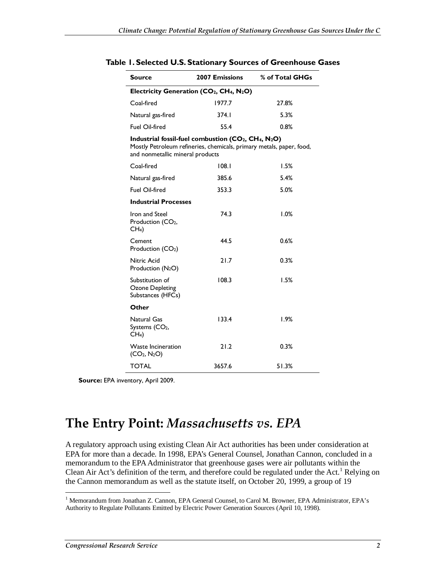| Source                                                                                                                                                             | <b>2007 Emissions</b> | % of Total GHGs |  |  |  |  |
|--------------------------------------------------------------------------------------------------------------------------------------------------------------------|-----------------------|-----------------|--|--|--|--|
| Electricity Generation (CO <sub>2</sub> , CH <sub>4</sub> , N <sub>2</sub> O)                                                                                      |                       |                 |  |  |  |  |
| Coal-fired                                                                                                                                                         | 1977.7                | 27.8%           |  |  |  |  |
| Natural gas-fired                                                                                                                                                  | 374.I                 | 5.3%            |  |  |  |  |
| Fuel Oil-fired                                                                                                                                                     | 55.4                  | 0.8%            |  |  |  |  |
| Industrial fossil-fuel combustion $(CO_2, CH_4, N_2O)$<br>Mostly Petroleum refineries, chemicals, primary metals, paper, food,<br>and nonmetallic mineral products |                       |                 |  |  |  |  |
| Coal-fired                                                                                                                                                         | 108.1                 | 1.5%            |  |  |  |  |
| Natural gas-fired                                                                                                                                                  | 385.6                 | 5.4%            |  |  |  |  |
| <b>Fuel Oil-fired</b>                                                                                                                                              | 353.3                 | 5.0%            |  |  |  |  |
| <b>Industrial Processes</b>                                                                                                                                        |                       |                 |  |  |  |  |
| Iron and Steel<br>Production (CO <sub>2</sub> ,<br>CH <sub>4</sub>                                                                                                 | 74.3                  | 1.0%            |  |  |  |  |
| Cement<br>Production (CO <sub>2</sub> )                                                                                                                            | 44.5                  | 0.6%            |  |  |  |  |
| Nitric Acid<br>Production $(N_2O)$                                                                                                                                 | 21.7                  | 0.3%            |  |  |  |  |
| Substitution of<br><b>Ozone Depleting</b><br>Substances (HFCs)                                                                                                     | 108.3                 | 1.5%            |  |  |  |  |
| Other                                                                                                                                                              |                       |                 |  |  |  |  |
| Natural Gas<br>Systems (CO <sub>2</sub> ,<br>CH <sub>4</sub>                                                                                                       | 133.4                 | 1.9%            |  |  |  |  |
| <b>Waste Incineration</b><br>$(CO_2, N_2O)$                                                                                                                        | 21.2                  | 0.3%            |  |  |  |  |
| <b>TOTAL</b>                                                                                                                                                       | 3657.6                | 51.3%           |  |  |  |  |

#### **Table 1. Selected U.S. Stationary Sources of Greenhouse Gases**

**Source:** EPA inventory, April 2009.

## **The Entry Point:** *Massachusetts vs. EPA*

A regulatory approach using existing Clean Air Act authorities has been under consideration at EPA for more than a decade. In 1998, EPA's General Counsel, Jonathan Cannon, concluded in a memorandum to the EPA Administrator that greenhouse gases were air pollutants within the Clean Air Act's definition of the term, and therefore could be regulated under the Act.<sup>1</sup> Relying on the Cannon memorandum as well as the statute itself, on October 20, 1999, a group of 19

 1 Memorandum from Jonathan Z. Cannon, EPA General Counsel, to Carol M. Browner, EPA Administrator, EPA's Authority to Regulate Pollutants Emitted by Electric Power Generation Sources (April 10, 1998).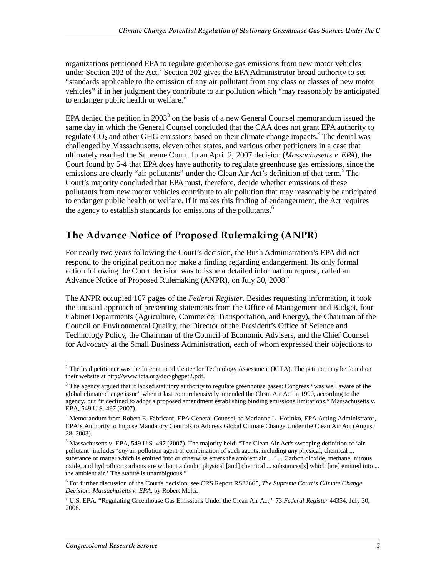organizations petitioned EPA to regulate greenhouse gas emissions from new motor vehicles under Section 202 of the Act.<sup>2</sup> Section 202 gives the EPA Administrator broad authority to set "standards applicable to the emission of any air pollutant from any class or classes of new motor vehicles" if in her judgment they contribute to air pollution which "may reasonably be anticipated to endanger public health or welfare."

EPA denied the petition in 2003<sup>3</sup> on the basis of a new General Counsel memorandum issued the same day in which the General Counsel concluded that the CAA does not grant EPA authority to regulate  $CO<sub>2</sub>$  and other GHG emissions based on their climate change impacts.<sup>4</sup> The denial was challenged by Massachusetts, eleven other states, and various other petitioners in a case that ultimately reached the Supreme Court. In an April 2, 2007 decision (*Massachusetts v. EPA*), the Court found by 5-4 that EPA *does* have authority to regulate greenhouse gas emissions, since the emissions are clearly "air pollutants" under the Clean Air Act's definition of that term.<sup>5</sup> The Court's majority concluded that EPA must, therefore, decide whether emissions of these pollutants from new motor vehicles contribute to air pollution that may reasonably be anticipated to endanger public health or welfare. If it makes this finding of endangerment, the Act requires the agency to establish standards for emissions of the pollutants.<sup>6</sup>

### **The Advance Notice of Proposed Rulemaking (ANPR)**

For nearly two years following the Court's decision, the Bush Administration's EPA did not respond to the original petition nor make a finding regarding endangerment. Its only formal action following the Court decision was to issue a detailed information request, called an Advance Notice of Proposed Rulemaking (ANPR), on July 30, 2008.<sup>7</sup>

The ANPR occupied 167 pages of the *Federal Register*. Besides requesting information, it took the unusual approach of presenting statements from the Office of Management and Budget, four Cabinet Departments (Agriculture, Commerce, Transportation, and Energy), the Chairman of the Council on Environmental Quality, the Director of the President's Office of Science and Technology Policy, the Chairman of the Council of Economic Advisers, and the Chief Counsel for Advocacy at the Small Business Administration, each of whom expressed their objections to

<sup>&</sup>lt;sup>2</sup> The lead petitioner was the International Center for Technology Assessment (ICTA). The petition may be found on their website at http://www.icta.org/doc/ghgpet2.pdf.

<sup>&</sup>lt;sup>3</sup> The agency argued that it lacked statutory authority to regulate greenhouse gases: Congress "was well aware of the global climate change issue" when it last comprehensively amended the Clean Air Act in 1990, according to the agency, but "it declined to adopt a proposed amendment establishing binding emissions limitations." Massachusetts v. EPA, 549 U.S. 497 (2007).

<sup>&</sup>lt;sup>4</sup> Memorandum from Robert E. Fabricant, EPA General Counsel, to Marianne L. Horinko, EPA Acting Administrator, EPA's Authority to Impose Mandatory Controls to Address Global Climate Change Under the Clean Air Act (August 28, 2003).

<sup>&</sup>lt;sup>5</sup> Massachusetts v. EPA, 549 U.S. 497 (2007). The majority held: "The Clean Air Act's sweeping definition of 'air pollutant' includes '*any* air pollution agent or combination of such agents, including *any* physical, chemical ... substance or matter which is emitted into or otherwise enters the ambient air.... ' ... Carbon dioxide, methane, nitrous oxide, and hydrofluorocarbons are without a doubt 'physical [and] chemical ... substances[s] which [are] emitted into ... the ambient air.' The statute is unambiguous."

<sup>6</sup> For further discussion of the Court's decision, see CRS Report RS22665, *The Supreme Court's Climate Change Decision: Massachusetts v. EPA*, by Robert Meltz.

<sup>7</sup> U.S. EPA, "Regulating Greenhouse Gas Emissions Under the Clean Air Act," 73 *Federal Register* 44354, July 30, 2008.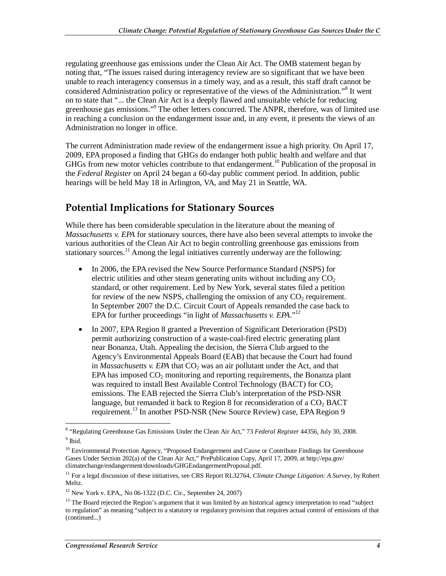regulating greenhouse gas emissions under the Clean Air Act. The OMB statement began by noting that, "The issues raised during interagency review are so significant that we have been unable to reach interagency consensus in a timely way, and as a result, this staff draft cannot be considered Administration policy or representative of the views of the Administration."<sup>8</sup> It went on to state that "... the Clean Air Act is a deeply flawed and unsuitable vehicle for reducing greenhouse gas emissions."<sup>9</sup> The other letters concurred. The ANPR, therefore, was of limited use in reaching a conclusion on the endangerment issue and, in any event, it presents the views of an Administration no longer in office.

The current Administration made review of the endangerment issue a high priority. On April 17, 2009, EPA proposed a finding that GHGs do endanger both public health and welfare and that GHGs from new motor vehicles contribute to that endangerment.<sup>10</sup> Publication of the proposal in the *Federal Register* on April 24 began a 60-day public comment period. In addition, public hearings will be held May 18 in Arlington, VA, and May 21 in Seattle, WA.

## **Potential Implications for Stationary Sources**

While there has been considerable speculation in the literature about the meaning of *Massachusetts v. EPA* for stationary sources, there have also been several attempts to invoke the various authorities of the Clean Air Act to begin controlling greenhouse gas emissions from stationary sources.<sup>11</sup> Among the legal initiatives currently underway are the following:

- In 2006, the EPA revised the New Source Performance Standard (NSPS) for electric utilities and other steam generating units without including any  $CO<sub>2</sub>$ standard, or other requirement. Led by New York, several states filed a petition for review of the new NSPS, challenging the omission of any  $CO<sub>2</sub>$  requirement. In September 2007 the D.C. Circuit Court of Appeals remanded the case back to EPA for further proceedings "in light of *Massachusetts v. EPA*."<sup>12</sup>
- In 2007, EPA Region 8 granted a Prevention of Significant Deterioration (PSD) permit authorizing construction of a waste-coal-fired electric generating plant near Bonanza, Utah. Appealing the decision, the Sierra Club argued to the Agency's Environmental Appeals Board (EAB) that because the Court had found in *Massachusetts v. EPA* that  $CO<sub>2</sub>$  was an air pollutant under the Act, and that EPA has imposed  $CO<sub>2</sub>$  monitoring and reporting requirements, the Bonanza plant was required to install Best Available Control Technology (BACT) for  $CO<sub>2</sub>$ emissions. The EAB rejected the Sierra Club's interpretation of the PSD-NSR language, but remanded it back to Region 8 for reconsideration of a  $CO<sub>2</sub> BACT$ requirement.13 In another PSD-NSR (New Source Review) case, EPA Region 9

<sup>&</sup>lt;sup>8</sup> "Regulating Greenhouse Gas Emissions Under the Clean Air Act," 73 *Federal Register* 44356, July 30, 2008.  $9$  Ibid.

<sup>&</sup>lt;sup>10</sup> Environmental Protection Agency, "Proposed Endangerment and Cause or Contribute Findings for Greenhouse Gases Under Section 202(a) of the Clean Air Act," PrePublication Copy, April 17, 2009, at http://epa.gov/ climatechange/endangerment/downloads/GHGEndangermentProposal.pdf.

<sup>11</sup> For a legal discussion of these initiatives, see CRS Report RL32764, *Climate Change Litigation: A Survey*, by Robert Meltz.

<sup>12</sup> New York v. EPA,, No 06-1322 (D.C. Cir., September 24, 2007)

<sup>&</sup>lt;sup>13</sup> The Board rejected the Region's argument that it was limited by an historical agency interpretation to read "subject" to regulation" as meaning "subject to a statutory or regulatory provision that requires actual control of emissions of that (continued...)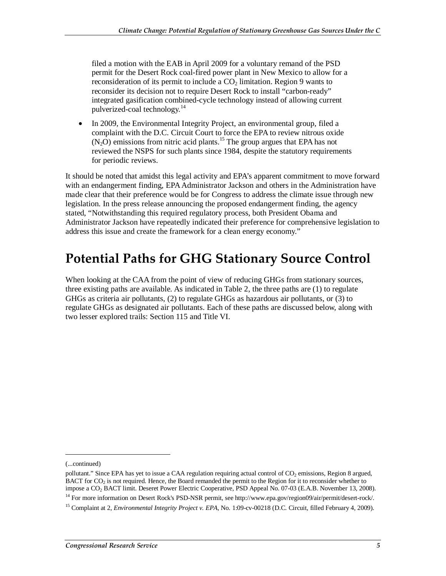filed a motion with the EAB in April 2009 for a voluntary remand of the PSD permit for the Desert Rock coal-fired power plant in New Mexico to allow for a reconsideration of its permit to include a  $CO<sub>2</sub>$  limitation. Region 9 wants to reconsider its decision not to require Desert Rock to install "carbon-ready" integrated gasification combined-cycle technology instead of allowing current pulverized-coal technology.<sup>14</sup>

• In 2009, the Environmental Integrity Project, an environmental group, filed a complaint with the D.C. Circuit Court to force the EPA to review nitrous oxide  $(N_2O)$  emissions from nitric acid plants.<sup>15</sup> The group argues that EPA has not reviewed the NSPS for such plants since 1984, despite the statutory requirements for periodic reviews.

It should be noted that amidst this legal activity and EPA's apparent commitment to move forward with an endangerment finding, EPA Administrator Jackson and others in the Administration have made clear that their preference would be for Congress to address the climate issue through new legislation. In the press release announcing the proposed endangerment finding, the agency stated, "Notwithstanding this required regulatory process, both President Obama and Administrator Jackson have repeatedly indicated their preference for comprehensive legislation to address this issue and create the framework for a clean energy economy."

## **Potential Paths for GHG Stationary Source Control**

When looking at the CAA from the point of view of reducing GHGs from stationary sources, three existing paths are available. As indicated in Table 2, the three paths are (1) to regulate GHGs as criteria air pollutants, (2) to regulate GHGs as hazardous air pollutants, or (3) to regulate GHGs as designated air pollutants. Each of these paths are discussed below, along with two lesser explored trails: Section 115 and Title VI.

**.** 

<sup>(...</sup>continued)

pollutant." Since EPA has yet to issue a CAA regulation requiring actual control of  $CO<sub>2</sub>$  emissions, Region 8 argued, BACT for  $CO<sub>2</sub>$  is not required. Hence, the Board remanded the permit to the Region for it to reconsider whether to impose a CO2 BACT limit. Deseret Power Electric Cooperative, PSD Appeal No. 07-03 (E.A.B. November 13, 2008). <sup>14</sup> For more information on Desert Rock's PSD-NSR permit, see http://www.epa.gov/region09/air/permit/desert-rock/.

<sup>&</sup>lt;sup>15</sup> Complaint at 2, *Environmental Integrity Project v. EPA*, No. 1:09-cv-00218 (D.C. Circuit, filled February 4, 2009).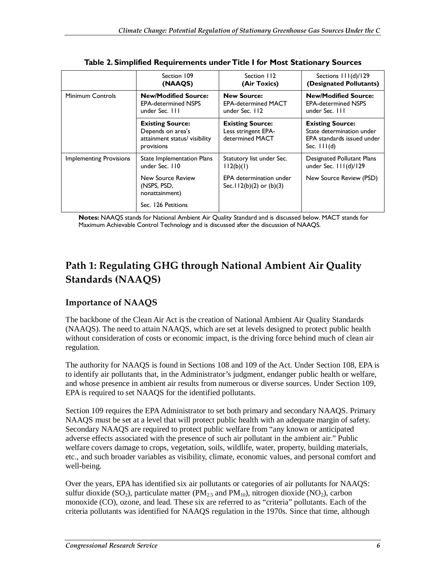|                                | Section 109<br>(NAAQS)                                                                      | Section 112<br>(Air Toxics)                                        | Sections 111(d)/129<br>(Designated Pollutants)                                                     |
|--------------------------------|---------------------------------------------------------------------------------------------|--------------------------------------------------------------------|----------------------------------------------------------------------------------------------------|
| <b>Minimum Controls</b>        | <b>New/Modified Source:</b><br><b>EPA-determined NSPS</b><br>under Sec. III                 | <b>New Source:</b><br><b>EPA-determined MACT</b><br>under Sec. 112 | <b>New/Modified Source:</b><br><b>EPA-determined NSPS</b><br>under Sec. 111                        |
|                                | <b>Existing Source:</b><br>Depends on area's<br>attainment status/ visibility<br>provisions | <b>Existing Source:</b><br>Less stringent EPA-<br>determined MACT  | <b>Existing Source:</b><br>State determination under<br>EPA standards issued under<br>Sec. $11(d)$ |
| <b>Implementing Provisions</b> | State Implementation Plans<br>under Sec. 110                                                | Statutory list under Sec.<br>112(b)(1)                             | Designated Pollutant Plans<br>under Sec. $11( d)/129$                                              |
|                                | New Source Review<br>(NSPS, PSD,<br>nonattainment)                                          | <b>EPA</b> determination under<br>Sec. $112(b)(2)$ or $(b)(3)$     | New Source Review (PSD)                                                                            |
|                                | Sec. 126 Petitions                                                                          |                                                                    |                                                                                                    |

**Table 2. Simplified Requirements under Title I for Most Stationary Sources** 

**Notes:** NAAQS stands for National Ambient Air Quality Standard and is discussed below. MACT stands for Maximum Achievable Control Technology and is discussed after the discussion of NAAQS.

## **Path 1: Regulating GHG through National Ambient Air Quality Standards (NAAQS)**

#### **Importance of NAAQS**

The backbone of the Clean Air Act is the creation of National Ambient Air Quality Standards (NAAQS). The need to attain NAAQS, which are set at levels designed to protect public health without consideration of costs or economic impact, is the driving force behind much of clean air regulation.

The authority for NAAQS is found in Sections 108 and 109 of the Act. Under Section 108, EPA is to identify air pollutants that, in the Administrator's judgment, endanger public health or welfare, and whose presence in ambient air results from numerous or diverse sources. Under Section 109, EPA is required to set NAAQS for the identified pollutants.

Section 109 requires the EPA Administrator to set both primary and secondary NAAQS. Primary NAAQS must be set at a level that will protect public health with an adequate margin of safety. Secondary NAAQS are required to protect public welfare from "any known or anticipated adverse effects associated with the presence of such air pollutant in the ambient air." Public welfare covers damage to crops, vegetation, soils, wildlife, water, property, building materials, etc., and such broader variables as visibility, climate, economic values, and personal comfort and well-being.

Over the years, EPA has identified six air pollutants or categories of air pollutants for NAAQS: sulfur dioxide (SO<sub>2</sub>), particulate matter (PM<sub>2.5</sub> and PM<sub>10</sub>), nitrogen dioxide (NO<sub>2</sub>), carbon monoxide (CO), ozone, and lead. These six are referred to as "criteria" pollutants. Each of the criteria pollutants was identified for NAAQS regulation in the 1970s. Since that time, although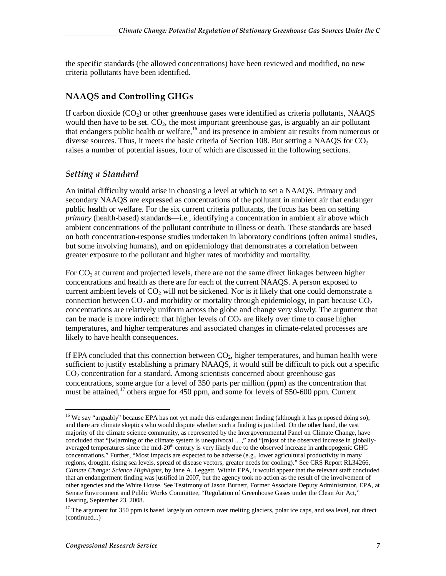the specific standards (the allowed concentrations) have been reviewed and modified, no new criteria pollutants have been identified.

#### **NAAQS and Controlling GHGs**

If carbon dioxide  $(CO<sub>2</sub>)$  or other greenhouse gases were identified as criteria pollutants, NAAOS would then have to be set.  $CO<sub>2</sub>$ , the most important greenhouse gas, is arguably an air pollutant that endangers public health or welfare,<sup>16</sup> and its presence in ambient air results from numerous or diverse sources. Thus, it meets the basic criteria of Section 108. But setting a NAAQS for  $CO<sub>2</sub>$ raises a number of potential issues, four of which are discussed in the following sections.

#### *Setting a Standard*

An initial difficulty would arise in choosing a level at which to set a NAAQS. Primary and secondary NAAQS are expressed as concentrations of the pollutant in ambient air that endanger public health or welfare. For the six current criteria pollutants, the focus has been on setting *primary* (health-based) standards—i.e., identifying a concentration in ambient air above which ambient concentrations of the pollutant contribute to illness or death. These standards are based on both concentration-response studies undertaken in laboratory conditions (often animal studies, but some involving humans), and on epidemiology that demonstrates a correlation between greater exposure to the pollutant and higher rates of morbidity and mortality.

For  $CO<sub>2</sub>$  at current and projected levels, there are not the same direct linkages between higher concentrations and health as there are for each of the current NAAQS. A person exposed to current ambient levels of  $CO<sub>2</sub>$  will not be sickened. Nor is it likely that one could demonstrate a connection between  $CO<sub>2</sub>$  and morbidity or mortality through epidemiology, in part because  $CO<sub>2</sub>$ concentrations are relatively uniform across the globe and change very slowly. The argument that can be made is more indirect: that higher levels of  $CO<sub>2</sub>$  are likely over time to cause higher temperatures, and higher temperatures and associated changes in climate-related processes are likely to have health consequences.

If EPA concluded that this connection between  $CO<sub>2</sub>$ , higher temperatures, and human health were sufficient to justify establishing a primary NAAQS, it would still be difficult to pick out a specific  $CO<sub>2</sub>$  concentration for a standard. Among scientists concerned about greenhouse gas concentrations, some argue for a level of 350 parts per million (ppm) as the concentration that must be attained,<sup>17</sup> others argue for 450 ppm, and some for levels of 550-600 ppm. Current

-

<sup>&</sup>lt;sup>16</sup> We say "arguably" because EPA has not yet made this endangerment finding (although it has proposed doing so), and there are climate skeptics who would dispute whether such a finding is justified. On the other hand, the vast majority of the climate science community, as represented by the Intergovernmental Panel on Climate Change, have concluded that "[w]arming of the climate system is unequivocal ... ," and "[m]ost of the observed increase in globallyaveraged temperatures since the mid- $20<sup>th</sup>$  century is very likely due to the observed increase in anthropogenic GHG concentrations." Further, "Most impacts are expected to be adverse (e.g., lower agricultural productivity in many regions, drought, rising sea levels, spread of disease vectors, greater needs for cooling)." See CRS Report RL34266, *Climate Change: Science Highlights*, by Jane A. Leggett. Within EPA, it would appear that the relevant staff concluded that an endangerment finding was justified in 2007, but the agency took no action as the result of the involvement of other agencies and the White House. See Testimony of Jason Burnett, Former Associate Deputy Administrator, EPA, at Senate Environment and Public Works Committee, "Regulation of Greenhouse Gases under the Clean Air Act," Hearing, September 23, 2008.

<sup>&</sup>lt;sup>17</sup> The argument for 350 ppm is based largely on concern over melting glaciers, polar ice caps, and sea level, not direct (continued...)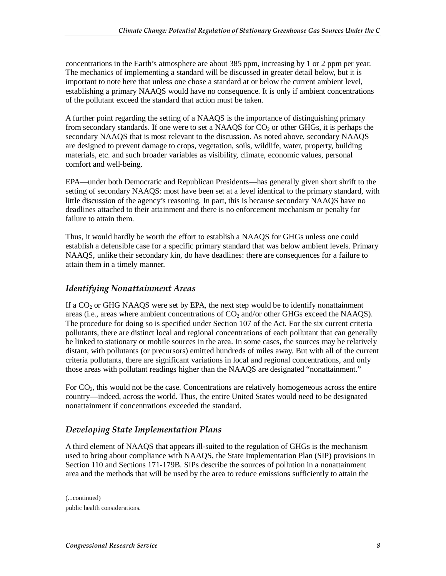concentrations in the Earth's atmosphere are about 385 ppm, increasing by 1 or 2 ppm per year. The mechanics of implementing a standard will be discussed in greater detail below, but it is important to note here that unless one chose a standard at or below the current ambient level, establishing a primary NAAQS would have no consequence. It is only if ambient concentrations of the pollutant exceed the standard that action must be taken.

A further point regarding the setting of a NAAQS is the importance of distinguishing primary from secondary standards. If one were to set a NAAQS for  $CO<sub>2</sub>$  or other GHGs, it is perhaps the secondary NAAQS that is most relevant to the discussion. As noted above, secondary NAAQS are designed to prevent damage to crops, vegetation, soils, wildlife, water, property, building materials, etc. and such broader variables as visibility, climate, economic values, personal comfort and well-being.

EPA—under both Democratic and Republican Presidents—has generally given short shrift to the setting of secondary NAAQS: most have been set at a level identical to the primary standard, with little discussion of the agency's reasoning. In part, this is because secondary NAAQS have no deadlines attached to their attainment and there is no enforcement mechanism or penalty for failure to attain them.

Thus, it would hardly be worth the effort to establish a NAAQS for GHGs unless one could establish a defensible case for a specific primary standard that was below ambient levels. Primary NAAQS, unlike their secondary kin, do have deadlines: there are consequences for a failure to attain them in a timely manner.

#### *Identifying Nonattainment Areas*

If a  $CO<sub>2</sub>$  or GHG NAAQS were set by EPA, the next step would be to identify nonattainment areas (i.e., areas where ambient concentrations of  $CO<sub>2</sub>$  and/or other GHGs exceed the NAAQS). The procedure for doing so is specified under Section 107 of the Act. For the six current criteria pollutants, there are distinct local and regional concentrations of each pollutant that can generally be linked to stationary or mobile sources in the area. In some cases, the sources may be relatively distant, with pollutants (or precursors) emitted hundreds of miles away. But with all of the current criteria pollutants, there are significant variations in local and regional concentrations, and only those areas with pollutant readings higher than the NAAQS are designated "nonattainment."

For  $CO<sub>2</sub>$ , this would not be the case. Concentrations are relatively homogeneous across the entire country—indeed, across the world. Thus, the entire United States would need to be designated nonattainment if concentrations exceeded the standard.

#### *Developing State Implementation Plans*

A third element of NAAQS that appears ill-suited to the regulation of GHGs is the mechanism used to bring about compliance with NAAQS, the State Implementation Plan (SIP) provisions in Section 110 and Sections 171-179B. SIPs describe the sources of pollution in a nonattainment area and the methods that will be used by the area to reduce emissions sufficiently to attain the

1

<sup>(...</sup>continued)

public health considerations.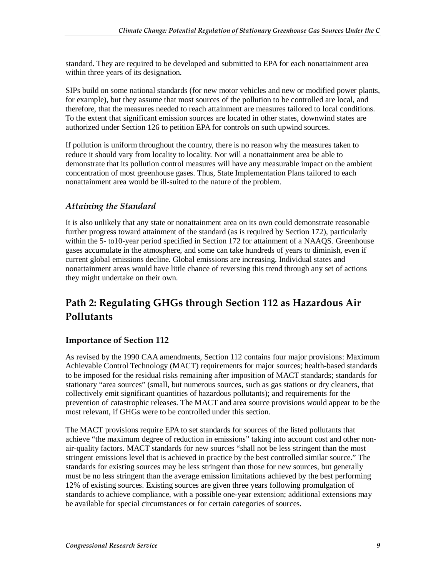standard. They are required to be developed and submitted to EPA for each nonattainment area within three years of its designation.

SIPs build on some national standards (for new motor vehicles and new or modified power plants, for example), but they assume that most sources of the pollution to be controlled are local, and therefore, that the measures needed to reach attainment are measures tailored to local conditions. To the extent that significant emission sources are located in other states, downwind states are authorized under Section 126 to petition EPA for controls on such upwind sources.

If pollution is uniform throughout the country, there is no reason why the measures taken to reduce it should vary from locality to locality. Nor will a nonattainment area be able to demonstrate that its pollution control measures will have any measurable impact on the ambient concentration of most greenhouse gases. Thus, State Implementation Plans tailored to each nonattainment area would be ill-suited to the nature of the problem.

#### *Attaining the Standard*

It is also unlikely that any state or nonattainment area on its own could demonstrate reasonable further progress toward attainment of the standard (as is required by Section 172), particularly within the 5- to10-year period specified in Section 172 for attainment of a NAAQS. Greenhouse gases accumulate in the atmosphere, and some can take hundreds of years to diminish, even if current global emissions decline. Global emissions are increasing. Individual states and nonattainment areas would have little chance of reversing this trend through any set of actions they might undertake on their own.

## **Path 2: Regulating GHGs through Section 112 as Hazardous Air Pollutants**

#### **Importance of Section 112**

As revised by the 1990 CAA amendments, Section 112 contains four major provisions: Maximum Achievable Control Technology (MACT) requirements for major sources; health-based standards to be imposed for the residual risks remaining after imposition of MACT standards; standards for stationary "area sources" (small, but numerous sources, such as gas stations or dry cleaners, that collectively emit significant quantities of hazardous pollutants); and requirements for the prevention of catastrophic releases. The MACT and area source provisions would appear to be the most relevant, if GHGs were to be controlled under this section.

The MACT provisions require EPA to set standards for sources of the listed pollutants that achieve "the maximum degree of reduction in emissions" taking into account cost and other nonair-quality factors. MACT standards for new sources "shall not be less stringent than the most stringent emissions level that is achieved in practice by the best controlled similar source." The standards for existing sources may be less stringent than those for new sources, but generally must be no less stringent than the average emission limitations achieved by the best performing 12% of existing sources. Existing sources are given three years following promulgation of standards to achieve compliance, with a possible one-year extension; additional extensions may be available for special circumstances or for certain categories of sources.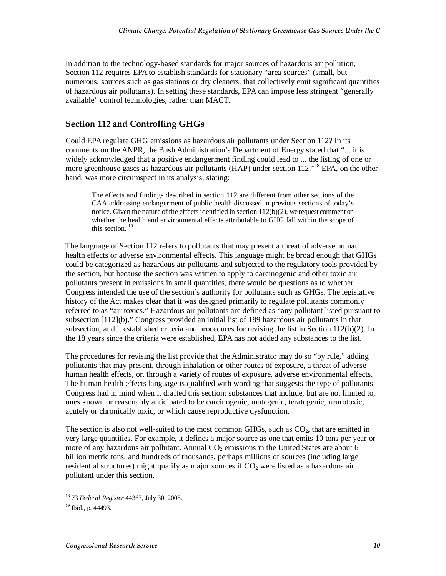In addition to the technology-based standards for major sources of hazardous air pollution, Section 112 requires EPA to establish standards for stationary "area sources" (small, but numerous, sources such as gas stations or dry cleaners, that collectively emit significant quantities of hazardous air pollutants). In setting these standards, EPA can impose less stringent "generally available" control technologies, rather than MACT.

#### **Section 112 and Controlling GHGs**

Could EPA regulate GHG emissions as hazardous air pollutants under Section 112? In its comments on the ANPR, the Bush Administration's Department of Energy stated that "... it is widely acknowledged that a positive endangerment finding could lead to ... the listing of one or more greenhouse gases as hazardous air pollutants (HAP) under section 112."<sup>18</sup> EPA, on the other hand, was more circumspect in its analysis, stating:

The effects and findings described in section 112 are different from other sections of the CAA addressing endangerment of public health discussed in previous sections of today's notice. Given the nature of the effects identified in section  $112(b)(2)$ , we request comment on whether the health and environmental effects attributable to GHG fall within the scope of this section. 19

The language of Section 112 refers to pollutants that may present a threat of adverse human health effects or adverse environmental effects. This language might be broad enough that GHGs could be categorized as hazardous air pollutants and subjected to the regulatory tools provided by the section, but because the section was written to apply to carcinogenic and other toxic air pollutants present in emissions in small quantities, there would be questions as to whether Congress intended the use of the section's authority for pollutants such as GHGs. The legislative history of the Act makes clear that it was designed primarily to regulate pollutants commonly referred to as "air toxics." Hazardous air pollutants are defined as "any pollutant listed pursuant to subsection [112](b)." Congress provided an initial list of 189 hazardous air pollutants in that subsection, and it established criteria and procedures for revising the list in Section 112(b)(2). In the 18 years since the criteria were established, EPA has not added any substances to the list.

The procedures for revising the list provide that the Administrator may do so "by rule," adding pollutants that may present, through inhalation or other routes of exposure, a threat of adverse human health effects, or, through a variety of routes of exposure, adverse environmental effects. The human health effects language is qualified with wording that suggests the type of pollutants Congress had in mind when it drafted this section: substances that include, but are not limited to, ones known or reasonably anticipated to be carcinogenic, mutagenic, teratogenic, neurotoxic, acutely or chronically toxic, or which cause reproductive dysfunction.

The section is also not well-suited to the most common GHGs, such as  $CO<sub>2</sub>$ , that are emitted in very large quantities. For example, it defines a major source as one that emits 10 tons per year or more of any hazardous air pollutant. Annual  $CO<sub>2</sub>$  emissions in the United States are about 6 billion metric tons, and hundreds of thousands, perhaps millions of sources (including large residential structures) might qualify as major sources if  $CO<sub>2</sub>$  were listed as a hazardous air pollutant under this section.

 $\frac{1}{1}$ 18 73 *Federal Register* 44367, July 30, 2008.

 $19$  Ibid., p. 44493.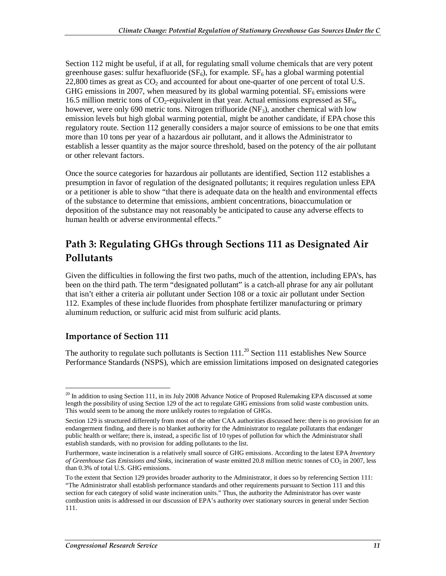Section 112 might be useful, if at all, for regulating small volume chemicals that are very potent greenhouse gases: sulfur hexafluoride  $(SF_6)$ , for example.  $SF_6$  has a global warming potential 22,800 times as great as  $CO<sub>2</sub>$  and accounted for about one-quarter of one percent of total U.S. GHG emissions in 2007, when measured by its global warming potential.  $SF<sub>6</sub>$  emissions were 16.5 million metric tons of  $CO_2$ -equivalent in that year. Actual emissions expressed as  $SF<sub>6</sub>$ , however, were only 690 metric tons. Nitrogen trifluoride  $(NF_3)$ , another chemical with low emission levels but high global warming potential, might be another candidate, if EPA chose this regulatory route. Section 112 generally considers a major source of emissions to be one that emits more than 10 tons per year of a hazardous air pollutant, and it allows the Administrator to establish a lesser quantity as the major source threshold, based on the potency of the air pollutant or other relevant factors.

Once the source categories for hazardous air pollutants are identified, Section 112 establishes a presumption in favor of regulation of the designated pollutants; it requires regulation unless EPA or a petitioner is able to show "that there is adequate data on the health and environmental effects of the substance to determine that emissions, ambient concentrations, bioaccumulation or deposition of the substance may not reasonably be anticipated to cause any adverse effects to human health or adverse environmental effects."

## **Path 3: Regulating GHGs through Sections 111 as Designated Air Pollutants**

Given the difficulties in following the first two paths, much of the attention, including EPA's, has been on the third path. The term "designated pollutant" is a catch-all phrase for any air pollutant that isn't either a criteria air pollutant under Section 108 or a toxic air pollutant under Section 112. Examples of these include fluorides from phosphate fertilizer manufacturing or primary aluminum reduction, or sulfuric acid mist from sulfuric acid plants.

#### **Importance of Section 111**

The authority to regulate such pollutants is Section  $111$ <sup>20</sup> Section 111 establishes New Source Performance Standards (NSPS), which are emission limitations imposed on designated categories

<sup>&</sup>lt;u>.</u> <sup>20</sup> In addition to using Section 111, in its July 2008 Advance Notice of Proposed Rulemaking EPA discussed at some length the possibility of using Section 129 of the act to regulate GHG emissions from solid waste combustion units. This would seem to be among the more unlikely routes to regulation of GHGs.

Section 129 is structured differently from most of the other CAA authorities discussed here: there is no provision for an endangerment finding, and there is no blanket authority for the Administrator to regulate pollutants that endanger public health or welfare; there is, instead, a specific list of 10 types of pollution for which the Administrator shall establish standards, with no provision for adding pollutants to the list.

Furthermore, waste incineration is a relatively small source of GHG emissions. According to the latest EPA *Inventory of Greenhouse Gas Emissions and Sinks*, incineration of waste emitted 20.8 million metric tonnes of CO<sub>2</sub> in 2007, less than 0.3% of total U.S. GHG emissions.

To the extent that Section 129 provides broader authority to the Administrator, it does so by referencing Section 111: "The Administrator shall establish performance standards and other requirements pursuant to Section 111 and this section for each category of solid waste incineration units." Thus, the authority the Administrator has over waste combustion units is addressed in our discussion of EPA's authority over stationary sources in general under Section 111.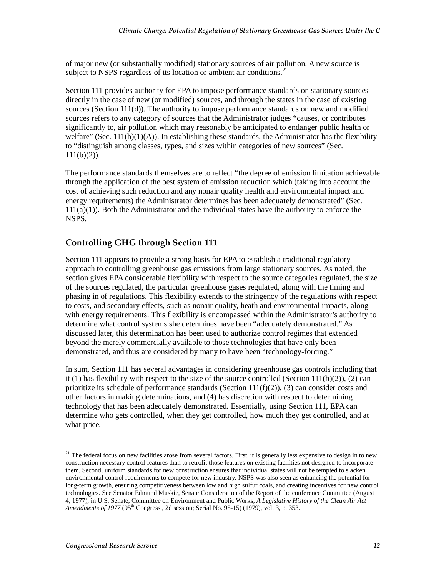of major new (or substantially modified) stationary sources of air pollution. A new source is subject to NSPS regardless of its location or ambient air conditions. $21$ 

Section 111 provides authority for EPA to impose performance standards on stationary sources directly in the case of new (or modified) sources, and through the states in the case of existing sources (Section 111(d)). The authority to impose performance standards on new and modified sources refers to any category of sources that the Administrator judges "causes, or contributes significantly to, air pollution which may reasonably be anticipated to endanger public health or welfare" (Sec.  $111(b)(1)(A)$ ). In establishing these standards, the Administrator has the flexibility to "distinguish among classes, types, and sizes within categories of new sources" (Sec.  $111(b)(2)$ ).

The performance standards themselves are to reflect "the degree of emission limitation achievable through the application of the best system of emission reduction which (taking into account the cost of achieving such reduction and any nonair quality health and environmental impact and energy requirements) the Administrator determines has been adequately demonstrated" (Sec.  $111(a)(1)$ ). Both the Administrator and the individual states have the authority to enforce the NSPS.

#### **Controlling GHG through Section 111**

Section 111 appears to provide a strong basis for EPA to establish a traditional regulatory approach to controlling greenhouse gas emissions from large stationary sources. As noted, the section gives EPA considerable flexibility with respect to the source categories regulated, the size of the sources regulated, the particular greenhouse gases regulated, along with the timing and phasing in of regulations. This flexibility extends to the stringency of the regulations with respect to costs, and secondary effects, such as nonair quality, heath and environmental impacts, along with energy requirements. This flexibility is encompassed within the Administrator's authority to determine what control systems she determines have been "adequately demonstrated." As discussed later, this determination has been used to authorize control regimes that extended beyond the merely commercially available to those technologies that have only been demonstrated, and thus are considered by many to have been "technology-forcing."

In sum, Section 111 has several advantages in considering greenhouse gas controls including that it (1) has flexibility with respect to the size of the source controlled (Section 111(b)(2)), (2) can prioritize its schedule of performance standards (Section  $111(f)(2)$ ), (3) can consider costs and other factors in making determinations, and (4) has discretion with respect to determining technology that has been adequately demonstrated. Essentially, using Section 111, EPA can determine who gets controlled, when they get controlled, how much they get controlled, and at what price.

<u>.</u>

<sup>&</sup>lt;sup>21</sup> The federal focus on new facilities arose from several factors. First, it is generally less expensive to design in to new construction necessary control features than to retrofit those features on existing facilities not designed to incorporate them. Second, uniform standards for new construction ensures that individual states will not be tempted to slacken environmental control requirements to compete for new industry. NSPS was also seen as enhancing the potential for long-term growth, ensuring competitiveness between low and high sulfur coals, and creating incentives for new control technologies. See Senator Edmund Muskie, Senate Consideration of the Report of the conference Committee (August 4, 1977), in U.S. Senate, Committee on Environment and Public Works*, A Legislative History of the Clean Air Act*  Amendments of 1977 (95<sup>th</sup> Congress., 2d session; Serial No. 95-15) (1979), vol. 3, p. 353.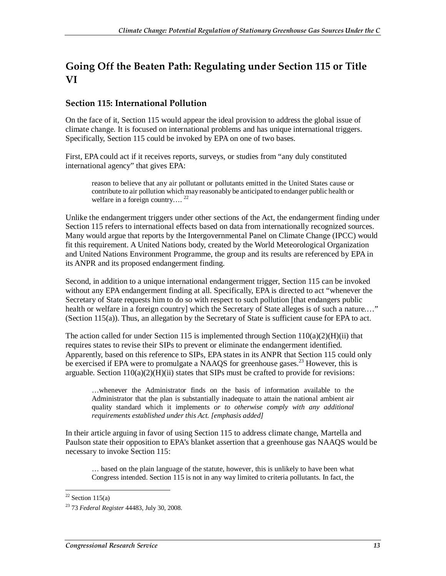## **Going Off the Beaten Path: Regulating under Section 115 or Title VI**

#### **Section 115: International Pollution**

On the face of it, Section 115 would appear the ideal provision to address the global issue of climate change. It is focused on international problems and has unique international triggers. Specifically, Section 115 could be invoked by EPA on one of two bases.

First, EPA could act if it receives reports, surveys, or studies from "any duly constituted international agency" that gives EPA:

reason to believe that any air pollutant or pollutants emitted in the United States cause or contribute to air pollution which may reasonably be anticipated to endanger public health or welfare in a foreign country....<sup>22</sup>

Unlike the endangerment triggers under other sections of the Act, the endangerment finding under Section 115 refers to international effects based on data from internationally recognized sources. Many would argue that reports by the Intergovernmental Panel on Climate Change (IPCC) would fit this requirement. A United Nations body, created by the World Meteorological Organization and United Nations Environment Programme, the group and its results are referenced by EPA in its ANPR and its proposed endangerment finding.

Second, in addition to a unique international endangerment trigger, Section 115 can be invoked without any EPA endangerment finding at all. Specifically, EPA is directed to act "whenever the Secretary of State requests him to do so with respect to such pollution [that endangers public health or welfare in a foreign country] which the Secretary of State alleges is of such a nature...." (Section 115(a)). Thus, an allegation by the Secretary of State is sufficient cause for EPA to act.

The action called for under Section 115 is implemented through Section  $110(a)(2)(H)(ii)$  that requires states to revise their SIPs to prevent or eliminate the endangerment identified. Apparently, based on this reference to SIPs, EPA states in its ANPR that Section 115 could only be exercised if EPA were to promulgate a NAAQS for greenhouse gases.<sup>23</sup> However, this is arguable. Section  $110(a)(2)(H)(ii)$  states that SIPs must be crafted to provide for revisions:

…whenever the Administrator finds on the basis of information available to the Administrator that the plan is substantially inadequate to attain the national ambient air quality standard which it implements *or to otherwise comply with any additional requirements established under this Act. [emphasis added]*

In their article arguing in favor of using Section 115 to address climate change, Martella and Paulson state their opposition to EPA's blanket assertion that a greenhouse gas NAAQS would be necessary to invoke Section 115:

… based on the plain language of the statute, however, this is unlikely to have been what Congress intended. Section 115 is not in any way limited to criteria pollutants. In fact, the

 $\frac{1}{2}$  $22$  Section 115(a)

<sup>23 73</sup> *Federal Register* 44483, July 30, 2008.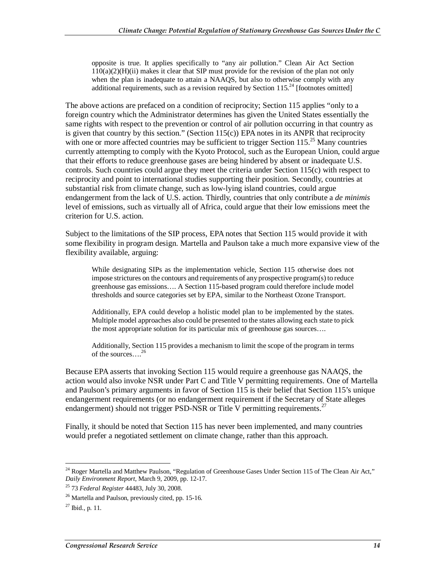opposite is true. It applies specifically to "any air pollution." Clean Air Act Section  $110(a)(2)(H)(ii)$  makes it clear that SIP must provide for the revision of the plan not only when the plan is inadequate to attain a NAAQS, but also to otherwise comply with any additional requirements, such as a revision required by Section 115.<sup>24</sup> [footnotes omitted]

The above actions are prefaced on a condition of reciprocity; Section 115 applies "only to a foreign country which the Administrator determines has given the United States essentially the same rights with respect to the prevention or control of air pollution occurring in that country as is given that country by this section." (Section  $115(c)$ ) EPA notes in its ANPR that reciprocity with one or more affected countries may be sufficient to trigger Section 115.<sup>25</sup> Many countries currently attempting to comply with the Kyoto Protocol, such as the European Union, could argue that their efforts to reduce greenhouse gases are being hindered by absent or inadequate U.S. controls. Such countries could argue they meet the criteria under Section 115(c) with respect to reciprocity and point to international studies supporting their position. Secondly, countries at substantial risk from climate change, such as low-lying island countries, could argue endangerment from the lack of U.S. action. Thirdly, countries that only contribute a *de minimis* level of emissions, such as virtually all of Africa, could argue that their low emissions meet the criterion for U.S. action.

Subject to the limitations of the SIP process, EPA notes that Section 115 would provide it with some flexibility in program design. Martella and Paulson take a much more expansive view of the flexibility available, arguing:

While designating SIPs as the implementation vehicle, Section 115 otherwise does not impose strictures on the contours and requirements of any prospective program(s) to reduce greenhouse gas emissions…. A Section 115-based program could therefore include model thresholds and source categories set by EPA, similar to the Northeast Ozone Transport.

Additionally, EPA could develop a holistic model plan to be implemented by the states. Multiple model approaches also could be presented to the states allowing each state to pick the most appropriate solution for its particular mix of greenhouse gas sources….

Additionally, Section 115 provides a mechanism to limit the scope of the program in terms of the sources....<sup>26</sup>

Because EPA asserts that invoking Section 115 would require a greenhouse gas NAAQS, the action would also invoke NSR under Part C and Title V permitting requirements. One of Martella and Paulson's primary arguments in favor of Section 115 is their belief that Section 115's unique endangerment requirements (or no endangerment requirement if the Secretary of State alleges endangerment) should not trigger PSD-NSR or Title V permitting requirements.<sup>27</sup>

Finally, it should be noted that Section 115 has never been implemented, and many countries would prefer a negotiated settlement on climate change, rather than this approach.

<u>.</u>

<sup>&</sup>lt;sup>24</sup> Roger Martella and Matthew Paulson, "Regulation of Greenhouse Gases Under Section 115 of The Clean Air Act," *Daily Environment Report*, March 9, 2009, pp. 12-17.

<sup>25 73</sup> *Federal Register* 44483, July 30, 2008.

 $^{26}$  Martella and Paulson, previously cited, pp. 15-16.

 $^{27}$  Ibid., p. 11.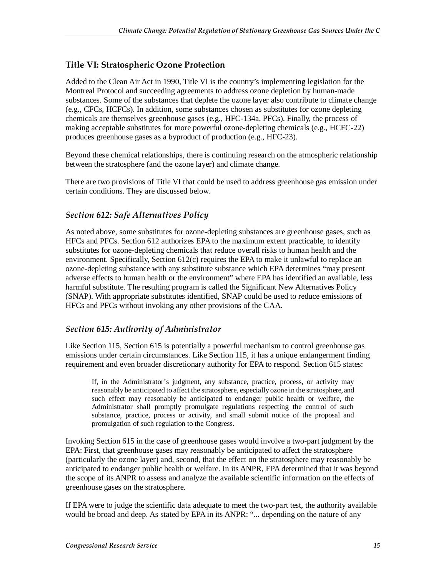#### **Title VI: Stratospheric Ozone Protection**

Added to the Clean Air Act in 1990, Title VI is the country's implementing legislation for the Montreal Protocol and succeeding agreements to address ozone depletion by human-made substances. Some of the substances that deplete the ozone layer also contribute to climate change (e.g., CFCs, HCFCs). In addition, some substances chosen as substitutes for ozone depleting chemicals are themselves greenhouse gases (e.g., HFC-134a, PFCs). Finally, the process of making acceptable substitutes for more powerful ozone-depleting chemicals (e.g., HCFC-22) produces greenhouse gases as a byproduct of production (e.g., HFC-23).

Beyond these chemical relationships, there is continuing research on the atmospheric relationship between the stratosphere (and the ozone layer) and climate change.

There are two provisions of Title VI that could be used to address greenhouse gas emission under certain conditions. They are discussed below.

#### *Section 612: Safe Alternatives Policy*

As noted above, some substitutes for ozone-depleting substances are greenhouse gases, such as HFCs and PFCs. Section 612 authorizes EPA to the maximum extent practicable, to identify substitutes for ozone-depleting chemicals that reduce overall risks to human health and the environment. Specifically, Section 612(c) requires the EPA to make it unlawful to replace an ozone-depleting substance with any substitute substance which EPA determines "may present adverse effects to human health or the environment" where EPA has identified an available, less harmful substitute. The resulting program is called the Significant New Alternatives Policy (SNAP). With appropriate substitutes identified, SNAP could be used to reduce emissions of HFCs and PFCs without invoking any other provisions of the CAA.

#### *Section 615: Authority of Administrator*

Like Section 115, Section 615 is potentially a powerful mechanism to control greenhouse gas emissions under certain circumstances. Like Section 115, it has a unique endangerment finding requirement and even broader discretionary authority for EPA to respond. Section 615 states:

If, in the Administrator's judgment, any substance, practice, process, or activity may reasonably be anticipated to affect the stratosphere, especially ozone in the stratosphere, and such effect may reasonably be anticipated to endanger public health or welfare, the Administrator shall promptly promulgate regulations respecting the control of such substance, practice, process or activity, and small submit notice of the proposal and promulgation of such regulation to the Congress.

Invoking Section 615 in the case of greenhouse gases would involve a two-part judgment by the EPA: First, that greenhouse gases may reasonably be anticipated to affect the stratosphere (particularly the ozone layer) and, second, that the effect on the stratosphere may reasonably be anticipated to endanger public health or welfare. In its ANPR, EPA determined that it was beyond the scope of its ANPR to assess and analyze the available scientific information on the effects of greenhouse gases on the stratosphere.

If EPA were to judge the scientific data adequate to meet the two-part test, the authority available would be broad and deep. As stated by EPA in its ANPR: "... depending on the nature of any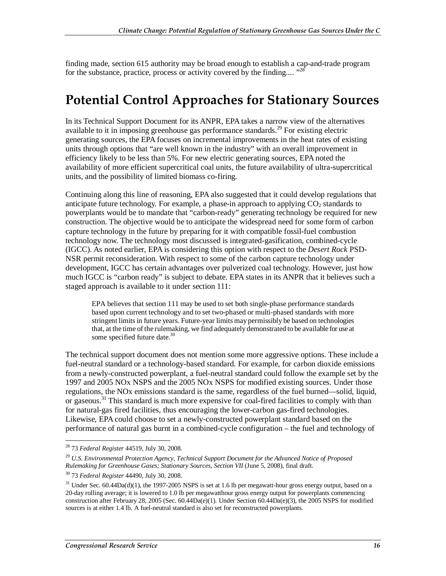finding made, section 615 authority may be broad enough to establish a cap-and-trade program for the substance, practice, process or activity covered by the finding....  $^{328}$ 

## **Potential Control Approaches for Stationary Sources**

In its Technical Support Document for its ANPR, EPA takes a narrow view of the alternatives available to it in imposing greenhouse gas performance standards.<sup>29</sup> For existing electric generating sources, the EPA focuses on incremental improvements in the heat rates of existing units through options that "are well known in the industry" with an overall improvement in efficiency likely to be less than 5%. For new electric generating sources, EPA noted the availability of more efficient supercritical coal units, the future availability of ultra-supercritical units, and the possibility of limited biomass co-firing.

Continuing along this line of reasoning, EPA also suggested that it could develop regulations that anticipate future technology. For example, a phase-in approach to applying  $CO<sub>2</sub>$  standards to powerplants would be to mandate that "carbon-ready" generating technology be required for new construction. The objective would be to anticipate the widespread need for some form of carbon capture technology in the future by preparing for it with compatible fossil-fuel combustion technology now. The technology most discussed is integrated-gasification, combined-cycle (IGCC). As noted earlier, EPA is considering this option with respect to the *Desert Rock* PSD-NSR permit reconsideration. With respect to some of the carbon capture technology under development, IGCC has certain advantages over pulverized coal technology. However, just how much IGCC is "carbon ready" is subject to debate. EPA states in its ANPR that it believes such a staged approach is available to it under section 111:

EPA believes that section 111 may be used to set both single-phase performance standards based upon current technology and to set two-phased or multi-phased standards with more stringent limits in future years. Future-year limits may permissibly be based on technologies that, at the time of the rulemaking, we find adequately demonstrated to be available for use at some specified future date.<sup>30</sup>

The technical support document does not mention some more aggressive options. These include a fuel-neutral standard or a technology-based standard. For example, for carbon dioxide emissions from a newly-constructed powerplant, a fuel-neutral standard could follow the example set by the 1997 and 2005 NOx NSPS and the 2005 NOx NSPS for modified existing sources. Under those regulations, the NOx emissions standard is the same, regardless of the fuel burned—solid, liquid, or gaseous.31 This standard is much more expensive for coal-fired facilities to comply with than for natural-gas fired facilities, thus encouraging the lower-carbon gas-fired technologies. Likewise, EPA could choose to set a newly-constructed powerplant standard based on the performance of natural gas burnt in a combined-cycle configuration – the fuel and technology of

<sup>-</sup>28 73 *Federal Register* 44519, July 30, 2008.

<sup>29</sup> *U.S. Environmental Protection Agency, Technical Support Document for the Advanced Notice of Proposed Rulemaking for Greenhouse Gases; Stationary Sources, Section VII* (June 5, 2008), final draft.

<sup>30 73</sup> *Federal Register* 44490, July 30, 2008.

 $31$  Under Sec. 60.44Da(d)(1), the 1997-2005 NSPS is set at 1.6 lb per megawatt-hour gross energy output, based on a 20-day rolling average; it is lowered to 1.0 lb per megawatthour gross energy output for powerplants commencing construction after February 28, 2005 (Sec. 60.44Da(e)(1). Under Section 60.44Da(e)(3), the 2005 NSPS for modified sources is at either 1.4 lb. A fuel-neutral standard is also set for reconstructed powerplants.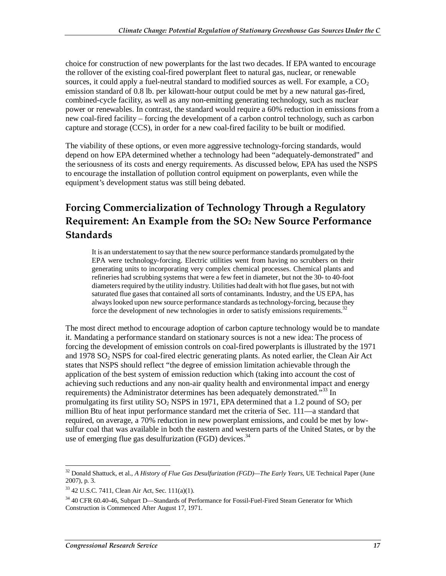choice for construction of new powerplants for the last two decades. If EPA wanted to encourage the rollover of the existing coal-fired powerplant fleet to natural gas, nuclear, or renewable sources, it could apply a fuel-neutral standard to modified sources as well. For example, a  $CO<sub>2</sub>$ emission standard of 0.8 lb. per kilowatt-hour output could be met by a new natural gas-fired, combined-cycle facility, as well as any non-emitting generating technology, such as nuclear power or renewables. In contrast, the standard would require a 60% reduction in emissions from a new coal-fired facility – forcing the development of a carbon control technology, such as carbon capture and storage (CCS), in order for a new coal-fired facility to be built or modified.

The viability of these options, or even more aggressive technology-forcing standards, would depend on how EPA determined whether a technology had been "adequately-demonstrated" and the seriousness of its costs and energy requirements. As discussed below, EPA has used the NSPS to encourage the installation of pollution control equipment on powerplants, even while the equipment's development status was still being debated.

## **Forcing Commercialization of Technology Through a Regulatory Requirement: An Example from the SO2 New Source Performance Standards**

It is an understatement to say that the new source performance standards promulgated by the EPA were technology-forcing. Electric utilities went from having no scrubbers on their generating units to incorporating very complex chemical processes. Chemical plants and refineries had scrubbing systems that were a few feet in diameter, but not the 30- to 40-foot diameters required by the utility industry. Utilities had dealt with hot flue gases, but not with saturated flue gases that contained all sorts of contaminants. Industry, and the US EPA, has always looked upon new source performance standards as technology-forcing, because they force the development of new technologies in order to satisfy emissions requirements. $32$ 

The most direct method to encourage adoption of carbon capture technology would be to mandate it. Mandating a performance standard on stationary sources is not a new idea: The process of forcing the development of emission controls on coal-fired powerplants is illustrated by the 1971 and 1978 SO2 NSPS for coal-fired electric generating plants. As noted earlier, the Clean Air Act states that NSPS should reflect "the degree of emission limitation achievable through the application of the best system of emission reduction which (taking into account the cost of achieving such reductions and any non-air quality health and environmental impact and energy requirements) the Administrator determines has been adequately demonstrated.<sup>733</sup> In promulgating its first utility  $SO_2$  NSPS in 1971, EPA determined that a 1.2 pound of  $SO_2$  per million Btu of heat input performance standard met the criteria of Sec. 111—a standard that required, on average, a 70% reduction in new powerplant emissions, and could be met by lowsulfur coal that was available in both the eastern and western parts of the United States, or by the use of emerging flue gas desulfurization (FGD) devices.<sup>34</sup>

<sup>-</sup>32 Donald Shattuck, et al., *A History of Flue Gas Desulfurization (FGD)—The Early Years*, UE Technical Paper (June 2007), p. 3.

<sup>33 42</sup> U.S.C. 7411, Clean Air Act, Sec. 111(a)(1).

<sup>&</sup>lt;sup>34</sup> 40 CFR 60.40-46, Subpart D—Standards of Performance for Fossil-Fuel-Fired Steam Generator for Which Construction is Commenced After August 17, 1971.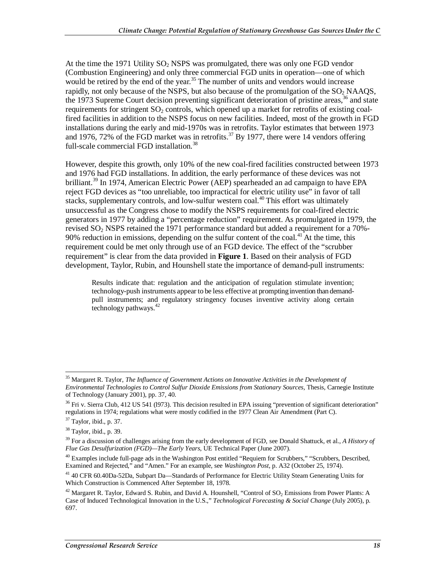At the time the 1971 Utility  $SO_2$  NSPS was promulgated, there was only one FGD vendor (Combustion Engineering) and only three commercial FGD units in operation—one of which would be retired by the end of the year.<sup>35</sup> The number of units and vendors would increase rapidly, not only because of the NSPS, but also because of the promulgation of the  $SO<sub>2</sub>$  NAAQS, the 1973 Supreme Court decision preventing significant deterioration of pristine areas,  $36$  and state requirements for stringent  $SO<sub>2</sub>$  controls, which opened up a market for retrofits of existing coalfired facilities in addition to the NSPS focus on new facilities. Indeed, most of the growth in FGD installations during the early and mid-1970s was in retrofits. Taylor estimates that between 1973 and 1976, 72% of the FGD market was in retrofits.<sup>37</sup> By 1977, there were 14 vendors offering full-scale commercial FGD installation.<sup>38</sup>

However, despite this growth, only 10% of the new coal-fired facilities constructed between 1973 and 1976 had FGD installations. In addition, the early performance of these devices was not brilliant.<sup>39</sup> In 1974, American Electric Power (AEP) spearheaded an ad campaign to have EPA reject FGD devices as "too unreliable, too impractical for electric utility use" in favor of tall stacks, supplementary controls, and low-sulfur western coal.<sup>40</sup> This effort was ultimately unsuccessful as the Congress chose to modify the NSPS requirements for coal-fired electric generators in 1977 by adding a "percentage reduction" requirement. As promulgated in 1979, the revised  $SO_2$  NSPS retained the 1971 performance standard but added a requirement for a 70%-90% reduction in emissions, depending on the sulfur content of the coal.<sup>41</sup> At the time, this requirement could be met only through use of an FGD device. The effect of the "scrubber requirement" is clear from the data provided in **Figure 1**. Based on their analysis of FGD development, Taylor, Rubin, and Hounshell state the importance of demand-pull instruments:

Results indicate that: regulation and the anticipation of regulation stimulate invention; technology-push instruments appear to be less effective at prompting invention than demandpull instruments; and regulatory stringency focuses inventive activity along certain technology pathways. $42$ 

<sup>-</sup>35 Margaret R. Taylor, *The Influence of Government Actions on Innovative Activities in the Development of Environmental Technologies to Control Sulfur Dioxide Emissions from Stationary Sources,* Thesis, Carnegie Institute of Technology (January 2001), pp. 37, 40.

<sup>&</sup>lt;sup>36</sup> Fri v. Sierra Club, 412 US 541 (1973). This decision resulted in EPA issuing "prevention of significant deterioration" regulations in 1974; regulations what were mostly codified in the 1977 Clean Air Amendment (Part C).

<sup>37</sup> Taylor, ibid., p. 37.

<sup>38</sup> Taylor, ibid., p. 39.

<sup>39</sup> For a discussion of challenges arising from the early development of FGD, see Donald Shattuck, et al., *A History of Flue Gas Desulfurization (FGD)—The Early Years*, UE Technical Paper (June 2007).

 $^{40}$  Examples include full-page ads in the Washington Post entitled "Requiem for Scrubbers," "Scrubbers, Described, Examined and Rejected," and "Amen." For an example, see *Washington Post*, p. A32 (October 25, 1974).

<sup>41 40</sup> CFR 60.40Da-52Da, Subpart Da—Standards of Performance for Electric Utility Steam Generating Units for Which Construction is Commenced After September 18, 1978.

 $42$  Margaret R. Taylor, Edward S. Rubin, and David A. Hounshell, "Control of  $SO_2$  Emissions from Power Plants: A Case of Induced Technological Innovation in the U.S.," *Technological Forecasting & Social Change* (July 2005), p. 697.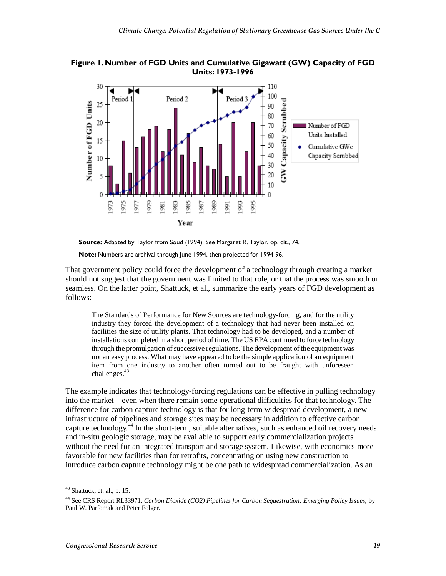

**Figure 1. Number of FGD Units and Cumulative Gigawatt (GW) Capacity of FGD Units: 1973-1996** 

**Source:** Adapted by Taylor from Soud (1994). See Margaret R. Taylor, op. cit., 74.

**Note:** Numbers are archival through June 1994, then projected for 1994-96.

That government policy could force the development of a technology through creating a market should not suggest that the government was limited to that role, or that the process was smooth or seamless. On the latter point, Shattuck, et al., summarize the early years of FGD development as follows:

The Standards of Performance for New Sources are technology-forcing, and for the utility industry they forced the development of a technology that had never been installed on facilities the size of utility plants. That technology had to be developed, and a number of installations completed in a short period of time. The US EPA continued to force technology through the promulgation of successive regulations. The development of the equipment was not an easy process. What may have appeared to be the simple application of an equipment item from one industry to another often turned out to be fraught with unforeseen challenges.<sup>43</sup>

The example indicates that technology-forcing regulations can be effective in pulling technology into the market—even when there remain some operational difficulties for that technology. The difference for carbon capture technology is that for long-term widespread development, a new infrastructure of pipelines and storage sites may be necessary in addition to effective carbon capture technology.<sup>44</sup> In the short-term, suitable alternatives, such as enhanced oil recovery needs and in-situ geologic storage, may be available to support early commercialization projects without the need for an integrated transport and storage system. Likewise, with economics more favorable for new facilities than for retrofits, concentrating on using new construction to introduce carbon capture technology might be one path to widespread commercialization. As an

<sup>-</sup> $43$  Shattuck, et. al., p. 15.

<sup>44</sup> See CRS Report RL33971, *Carbon Dioxide (CO2) Pipelines for Carbon Sequestration: Emerging Policy Issues*, by Paul W. Parfomak and Peter Folger.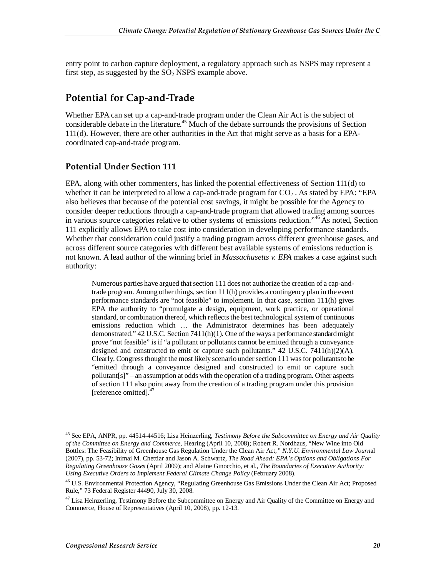entry point to carbon capture deployment, a regulatory approach such as NSPS may represent a first step, as suggested by the  $SO<sub>2</sub>$  NSPS example above.

## **Potential for Cap-and-Trade**

Whether EPA can set up a cap-and-trade program under the Clean Air Act is the subject of considerable debate in the literature.<sup>45</sup> Much of the debate surrounds the provisions of Section 111(d). However, there are other authorities in the Act that might serve as a basis for a EPAcoordinated cap-and-trade program.

#### **Potential Under Section 111**

EPA, along with other commenters, has linked the potential effectiveness of Section 111(d) to whether it can be interpreted to allow a cap-and-trade program for  $CO<sub>2</sub>$ . As stated by EPA: "EPA also believes that because of the potential cost savings, it might be possible for the Agency to consider deeper reductions through a cap-and-trade program that allowed trading among sources in various source categories relative to other systems of emissions reduction."<sup>46</sup> As noted, Section 111 explicitly allows EPA to take cost into consideration in developing performance standards. Whether that consideration could justify a trading program across different greenhouse gases, and across different source categories with different best available systems of emissions reduction is not known. A lead author of the winning brief in *Massachusetts v. EPA* makes a case against such authority:

Numerous parties have argued that section 111 does not authorize the creation of a cap-andtrade program. Among other things, section 111(h) provides a contingency plan in the event performance standards are "not feasible" to implement. In that case, section 111(h) gives EPA the authority to "promulgate a design, equipment, work practice, or operational standard, or combination thereof, which reflects the best technological system of continuous emissions reduction which … the Administrator determines has been adequately demonstrated." 42 U.S.C. Section 7411(h)(1). One of the ways a performance standard might prove "not feasible" is if "a pollutant or pollutants cannot be emitted through a conveyance designed and constructed to emit or capture such pollutants."  $42 \text{ U.S.C. } 7411 \text{ (h)}(2)(\text{A})$ . Clearly, Congress thought the most likely scenario under section 111 was for pollutants to be "emitted through a conveyance designed and constructed to emit or capture such pollutant[s]" – an assumption at odds with the operation of a trading program. Other aspects of section 111 also point away from the creation of a trading program under this provision [reference omitted].<sup>47</sup>

<u>.</u>

<sup>45</sup> See EPA, ANPR, pp. 44514-44516; Lisa Heinzerling, *Testimony Before the Subcommittee on Energy and Air Quality of the Committee on Energy and Commerce*, Hearing (April 10, 2008); Robert R. Nordhaus, "New Wine into Old Bottles: The Feasibility of Greenhouse Gas Regulation Under the Clean Air Act*," N.Y.U. Environmental Law Journ*al (2007), pp. 53-72; Inimai M. Chettiar and Jason A. Schwartz, *The Road Ahead: EPA's Options and Obligations For Regulating Greenhouse Gases* (April 2009); and Alaine Ginocchio, et al*., The Boundaries of Executive Authority: Using Executive Orders to Implement Federal Climate Change Policy* (February 2008).

<sup>&</sup>lt;sup>46</sup> U.S. Environmental Protection Agency, "Regulating Greenhouse Gas Emissions Under the Clean Air Act; Proposed Rule," 73 Federal Register 44490, July 30, 2008.

<sup>&</sup>lt;sup>47</sup> Lisa Heinzerling, Testimony Before the Subcommittee on Energy and Air Quality of the Committee on Energy and Commerce, House of Representatives (April 10, 2008), pp. 12-13.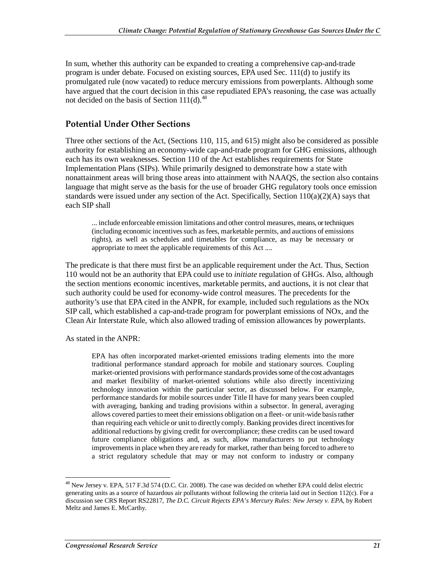In sum, whether this authority can be expanded to creating a comprehensive cap-and-trade program is under debate. Focused on existing sources, EPA used Sec. 111(d) to justify its promulgated rule (now vacated) to reduce mercury emissions from powerplants. Although some have argued that the court decision in this case repudiated EPA's reasoning, the case was actually not decided on the basis of Section 111(d).<sup>48</sup>

#### **Potential Under Other Sections**

Three other sections of the Act, (Sections 110, 115, and 615) might also be considered as possible authority for establishing an economy-wide cap-and-trade program for GHG emissions, although each has its own weaknesses. Section 110 of the Act establishes requirements for State Implementation Plans (SIPs). While primarily designed to demonstrate how a state with nonattainment areas will bring those areas into attainment with NAAQS, the section also contains language that might serve as the basis for the use of broader GHG regulatory tools once emission standards were issued under any section of the Act. Specifically, Section 110(a)(2)(A) says that each SIP shall

... include enforceable emission limitations and other control measures, means, or techniques (including economic incentives such as fees, marketable permits, and auctions of emissions rights), as well as schedules and timetables for compliance, as may be necessary or appropriate to meet the applicable requirements of this Act ....

The predicate is that there must first be an applicable requirement under the Act. Thus, Section 110 would not be an authority that EPA could use to *initiate* regulation of GHGs. Also, although the section mentions economic incentives, marketable permits, and auctions, it is not clear that such authority could be used for economy-wide control measures. The precedents for the authority's use that EPA cited in the ANPR, for example, included such regulations as the NOx SIP call, which established a cap-and-trade program for powerplant emissions of NOx, and the Clean Air Interstate Rule, which also allowed trading of emission allowances by powerplants.

As stated in the ANPR:

EPA has often incorporated market-oriented emissions trading elements into the more traditional performance standard approach for mobile and stationary sources. Coupling market-oriented provisions with performance standards provides some of the cost advantages and market flexibility of market-oriented solutions while also directly incentivizing technology innovation within the particular sector, as discussed below. For example, performance standards for mobile sources under Title II have for many years been coupled with averaging, banking and trading provisions within a subsector. In general, averaging allows covered parties to meet their emissions obligation on a fleet- or unit-wide basis rather than requiring each vehicle or unit to directly comply. Banking provides direct incentives for additional reductions by giving credit for overcompliance; these credits can be used toward future compliance obligations and, as such, allow manufacturers to put technology improvements in place when they are ready for market, rather than being forced to adhere to a strict regulatory schedule that may or may not conform to industry or company

<sup>-</sup><sup>48</sup> New Jersey v. EPA, 517 F.3d 574 (D.C. Cir. 2008). The case was decided on whether EPA could delist electric generating units as a source of hazardous air pollutants without following the criteria laid out in Section 112(c). For a discussion see CRS Report RS22817, *The D.C. Circuit Rejects EPA's Mercury Rules: New Jersey v. EPA*, by Robert Meltz and James E. McCarthy.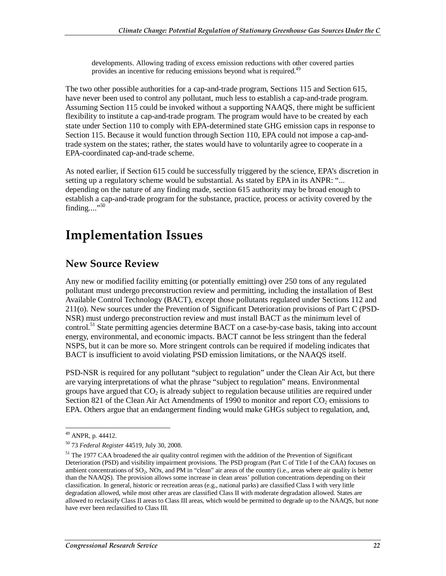developments. Allowing trading of excess emission reductions with other covered parties provides an incentive for reducing emissions beyond what is required.<sup>49</sup>

The two other possible authorities for a cap-and-trade program, Sections 115 and Section 615, have never been used to control any pollutant, much less to establish a cap-and-trade program. Assuming Section 115 could be invoked without a supporting NAAQS, there might be sufficient flexibility to institute a cap-and-trade program. The program would have to be created by each state under Section 110 to comply with EPA-determined state GHG emission caps in response to Section 115. Because it would function through Section 110, EPA could not impose a cap-andtrade system on the states; rather, the states would have to voluntarily agree to cooperate in a EPA-coordinated cap-and-trade scheme.

As noted earlier, if Section 615 could be successfully triggered by the science, EPA's discretion in setting up a regulatory scheme would be substantial. As stated by EPA in its ANPR: "... depending on the nature of any finding made, section 615 authority may be broad enough to establish a cap-and-trade program for the substance, practice, process or activity covered by the finding...."50

## **Implementation Issues**

### **New Source Review**

Any new or modified facility emitting (or potentially emitting) over 250 tons of any regulated pollutant must undergo preconstruction review and permitting, including the installation of Best Available Control Technology (BACT), except those pollutants regulated under Sections 112 and 211(o). New sources under the Prevention of Significant Deterioration provisions of Part C (PSD-NSR) must undergo preconstruction review and must install BACT as the minimum level of control.<sup>51</sup> State permitting agencies determine BACT on a case-by-case basis, taking into account energy, environmental, and economic impacts. BACT cannot be less stringent than the federal NSPS, but it can be more so. More stringent controls can be required if modeling indicates that BACT is insufficient to avoid violating PSD emission limitations, or the NAAQS itself.

PSD-NSR is required for any pollutant "subject to regulation" under the Clean Air Act, but there are varying interpretations of what the phrase "subject to regulation" means. Environmental groups have argued that  $CO<sub>2</sub>$  is already subject to regulation because utilities are required under Section 821 of the Clean Air Act Amendments of 1990 to monitor and report  $CO<sub>2</sub>$  emissions to EPA. Others argue that an endangerment finding would make GHGs subject to regulation, and,

<sup>&</sup>lt;u>.</u> <sup>49</sup> ANPR, p. 44412.

<sup>50 73</sup> *Federal Register* 44519, July 30, 2008.

<sup>&</sup>lt;sup>51</sup> The 1977 CAA broadened the air quality control regimen with the addition of the Prevention of Significant Deterioration (PSD) and visibility impairment provisions. The PSD program (Part C of Title I of the CAA) focuses on ambient concentrations of  $SO_2$ ,  $NOX$ , and PM in "clean" air areas of the country (i.e., areas where air quality is better than the NAAQS). The provision allows some increase in clean areas' pollution concentrations depending on their classification. In general, historic or recreation areas (e.g., national parks) are classified Class I with very little degradation allowed, while most other areas are classified Class II with moderate degradation allowed. States are allowed to reclassify Class II areas to Class III areas, which would be permitted to degrade up to the NAAQS, but none have ever been reclassified to Class III.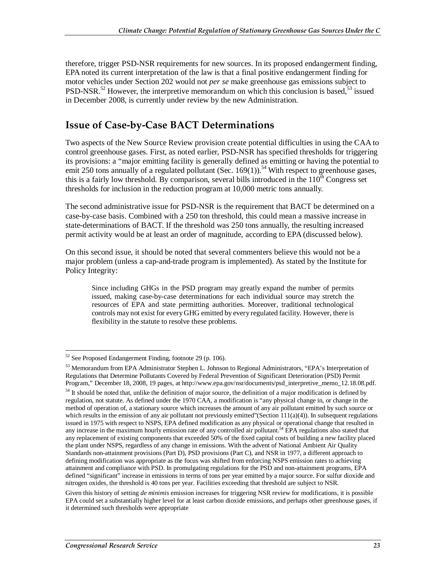therefore, trigger PSD-NSR requirements for new sources. In its proposed endangerment finding, EPA noted its current interpretation of the law is that a final positive endangerment finding for motor vehicles under Section 202 would not *per se* make greenhouse gas emissions subject to PSD-NSR.<sup>52</sup> However, the interpretive memorandum on which this conclusion is based,<sup>53</sup> issued in December 2008, is currently under review by the new Administration.

### **Issue of Case-by-Case BACT Determinations**

Two aspects of the New Source Review provision create potential difficulties in using the CAA to control greenhouse gases. First, as noted earlier, PSD-NSR has specified thresholds for triggering its provisions: a "major emitting facility is generally defined as emitting or having the potential to emit 250 tons annually of a regulated pollutant (Sec. 169(1)).<sup>54</sup> With respect to greenhouse gases, this is a fairly low threshold. By comparison, several bills introduced in the  $110<sup>th</sup>$  Congress set thresholds for inclusion in the reduction program at 10,000 metric tons annually.

The second administrative issue for PSD-NSR is the requirement that BACT be determined on a case-by-case basis. Combined with a 250 ton threshold, this could mean a massive increase in state-determinations of BACT. If the threshold was 250 tons annually, the resulting increased permit activity would be at least an order of magnitude, according to EPA (discussed below).

On this second issue, it should be noted that several commenters believe this would not be a major problem (unless a cap-and-trade program is implemented). As stated by the Institute for Policy Integrity:

Since including GHGs in the PSD program may greatly expand the number of permits issued, making case-by-case determinations for each individual source may stretch the resources of EPA and state permitting authorities. Moreover, traditional technological controls may not exist for every GHG emitted by every regulated facility. However, there is flexibility in the statute to resolve these problems.

<sup>-</sup> $52$  See Proposed Endangerment Finding, footnote 29 (p. 106).

<sup>&</sup>lt;sup>53</sup> Memorandum from EPA Administrator Stephen L. Johnson to Regional Administrators, "EPA's Interpretation of Regulations that Determine Pollutants Covered by Federal Prevention of Significant Deterioration (PSD) Permit Program," December 18, 2008, 19 pages, at http://www.epa.gov/nsr/documents/psd\_interpretive\_memo\_12.18.08.pdf.

 $54$  It should be noted that, unlike the definition of major source, the definition of a major modification is defined by regulation, not statute. As defined under the 1970 CAA, a modification is "any physical change in, or change in the method of operation of, a stationary source which increases the amount of any air pollutant emitted by such source or which results in the emission of any air pollutant not previously emitted"(Section  $111(a)(4)$ ). In subsequent regulations issued in 1975 with respect to NSPS, EPA defined modification as any physical or operational change that resulted in any increase in the maximum hourly emission rate of any controlled air pollutant.<sup>54</sup> EPA regulations also stated that any replacement of existing components that exceeded 50% of the fixed capital costs of building a new facility placed the plant under NSPS, regardless of any change in emissions. With the advent of National Ambient Air Quality Standards non-attainment provisions (Part D), PSD provisions (Part C), and NSR in 1977, a different approach to defining modification was appropriate as the focus was shifted from enforcing NSPS emission rates to achieving attainment and compliance with PSD. In promulgating regulations for the PSD and non-attainment programs, EPA defined "significant" increase in emissions in terms of tons per year emitted by a major source. For sulfur dioxide and nitrogen oxides, the threshold is 40 tons per year. Facilities exceeding that threshold are subject to NSR.

Given this history of setting *de minimis* emission increases for triggering NSR review for modifications, it is possible EPA could set a substantially higher level for at least carbon dioxide emissions, and perhaps other greenhouse gases, if it determined such thresholds were appropriate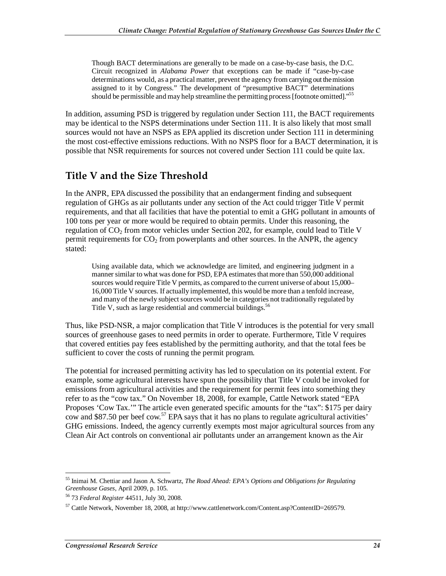Though BACT determinations are generally to be made on a case-by-case basis, the D.C. Circuit recognized in *Alabama Power* that exceptions can be made if "case-by-case determinations would, as a practical matter, prevent the agency from carrying out the mission assigned to it by Congress." The development of "presumptive BACT" determinations should be permissible and may help streamline the permitting process [footnote omitted]."55

In addition, assuming PSD is triggered by regulation under Section 111, the BACT requirements may be identical to the NSPS determinations under Section 111. It is also likely that most small sources would not have an NSPS as EPA applied its discretion under Section 111 in determining the most cost-effective emissions reductions. With no NSPS floor for a BACT determination, it is possible that NSR requirements for sources not covered under Section 111 could be quite lax.

### **Title V and the Size Threshold**

In the ANPR, EPA discussed the possibility that an endangerment finding and subsequent regulation of GHGs as air pollutants under any section of the Act could trigger Title V permit requirements, and that all facilities that have the potential to emit a GHG pollutant in amounts of 100 tons per year or more would be required to obtain permits. Under this reasoning, the regulation of  $CO<sub>2</sub>$  from motor vehicles under Section 202, for example, could lead to Title V permit requirements for  $CO<sub>2</sub>$  from powerplants and other sources. In the ANPR, the agency stated:

Using available data, which we acknowledge are limited, and engineering judgment in a manner similar to what was done for PSD, EPA estimates that more than 550,000 additional sources would require Title V permits, as compared to the current universe of about 15,000– 16,000 Title V sources. If actually implemented, this would be more than a tenfold increase, and many of the newly subject sources would be in categories not traditionally regulated by Title V, such as large residential and commercial buildings.<sup>56</sup>

Thus, like PSD-NSR, a major complication that Title V introduces is the potential for very small sources of greenhouse gases to need permits in order to operate. Furthermore, Title V requires that covered entities pay fees established by the permitting authority, and that the total fees be sufficient to cover the costs of running the permit program.

The potential for increased permitting activity has led to speculation on its potential extent. For example, some agricultural interests have spun the possibility that Title V could be invoked for emissions from agricultural activities and the requirement for permit fees into something they refer to as the "cow tax." On November 18, 2008, for example, Cattle Network stated "EPA Proposes 'Cow Tax.'" The article even generated specific amounts for the "tax": \$175 per dairy  $\overline{\text{cow}}$  and \$87.50 per beef  $\overline{\text{cow}}$ .<sup>57</sup> EPA says that it has no plans to regulate agricultural activities' GHG emissions. Indeed, the agency currently exempts most major agricultural sources from any Clean Air Act controls on conventional air pollutants under an arrangement known as the Air

<sup>-</sup>55 Inimai M. Chettiar and Jason A. Schwartz, *The Road Ahead: EPA's Options and Obligations for Regulating Greenhouse Gases*, April 2009, p. 105. 56 73 *Federal Register* 44511, July 30, 2008.

 $57$  Cattle Network, November 18, 2008, at http://www.cattlenetwork.com/Content.asp?ContentID=269579.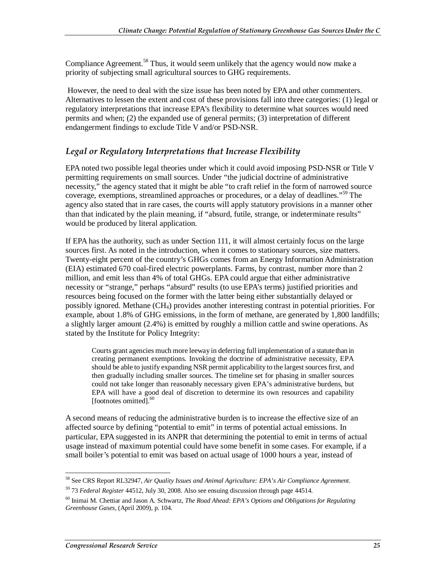Compliance Agreement.<sup>58</sup> Thus, it would seem unlikely that the agency would now make a priority of subjecting small agricultural sources to GHG requirements.

 However, the need to deal with the size issue has been noted by EPA and other commenters. Alternatives to lessen the extent and cost of these provisions fall into three categories: (1) legal or regulatory interpretations that increase EPA's flexibility to determine what sources would need permits and when; (2) the expanded use of general permits; (3) interpretation of different endangerment findings to exclude Title V and/or PSD-NSR.

#### *Legal or Regulatory Interpretations that Increase Flexibility*

EPA noted two possible legal theories under which it could avoid imposing PSD-NSR or Title V permitting requirements on small sources. Under "the judicial doctrine of administrative necessity," the agency stated that it might be able "to craft relief in the form of narrowed source coverage, exemptions, streamlined approaches or procedures, or a delay of deadlines."<sup>59</sup> The agency also stated that in rare cases, the courts will apply statutory provisions in a manner other than that indicated by the plain meaning, if "absurd, futile, strange, or indeterminate results" would be produced by literal application.

If EPA has the authority, such as under Section 111, it will almost certainly focus on the large sources first. As noted in the introduction, when it comes to stationary sources, size matters. Twenty-eight percent of the country's GHGs comes from an Energy Information Administration (EIA) estimated 670 coal-fired electric powerplants. Farms, by contrast, number more than 2 million, and emit less than 4% of total GHGs. EPA could argue that either administrative necessity or "strange," perhaps "absurd" results (to use EPA's terms) justified priorities and resources being focused on the former with the latter being either substantially delayed or possibly ignored. Methane (CH4) provides another interesting contrast in potential priorities. For example, about 1.8% of GHG emissions, in the form of methane, are generated by 1,800 landfills; a slightly larger amount (2.4%) is emitted by roughly a million cattle and swine operations. As stated by the Institute for Policy Integrity:

Courts grant agencies much more leeway in deferring full implementation of a statute than in creating permanent exemptions. Invoking the doctrine of administrative necessity, EPA should be able to justify expanding NSR permit applicability to the largest sources first, and then gradually including smaller sources. The timeline set for phasing in smaller sources could not take longer than reasonably necessary given EPA's administrative burdens, but EPA will have a good deal of discretion to determine its own resources and capability [footnotes omitted].<sup>60</sup>

A second means of reducing the administrative burden is to increase the effective size of an affected source by defining "potential to emit" in terms of potential actual emissions. In particular, EPA suggested in its ANPR that determining the potential to emit in terms of actual usage instead of maximum potential could have some benefit in some cases. For example, if a small boiler's potential to emit was based on actual usage of 1000 hours a year, instead of

<sup>-</sup>58 See CRS Report RL32947, *Air Quality Issues and Animal Agriculture: EPA's Air Compliance Agreement*.

<sup>59 73</sup> *Federal Register* 44512, July 30, 2008. Also see ensuing discussion through page 44514.

<sup>60</sup> Inimai M. Chettiar and Jason A. Schwartz, *The Road Ahead: EPA's Options and Obligations for Regulating Greenhouse Gases*, (April 2009), p. 104.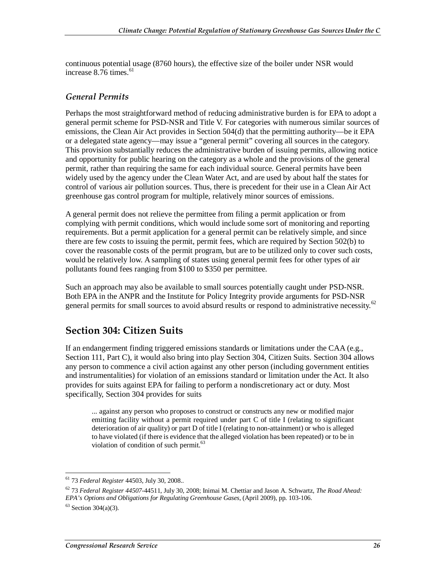continuous potential usage (8760 hours), the effective size of the boiler under NSR would increase  $8.76$  times.<sup>61</sup>

#### *General Permits*

Perhaps the most straightforward method of reducing administrative burden is for EPA to adopt a general permit scheme for PSD-NSR and Title V. For categories with numerous similar sources of emissions, the Clean Air Act provides in Section 504(d) that the permitting authority—be it EPA or a delegated state agency—may issue a "general permit" covering all sources in the category. This provision substantially reduces the administrative burden of issuing permits, allowing notice and opportunity for public hearing on the category as a whole and the provisions of the general permit, rather than requiring the same for each individual source. General permits have been widely used by the agency under the Clean Water Act, and are used by about half the states for control of various air pollution sources. Thus, there is precedent for their use in a Clean Air Act greenhouse gas control program for multiple, relatively minor sources of emissions.

A general permit does not relieve the permittee from filing a permit application or from complying with permit conditions, which would include some sort of monitoring and reporting requirements. But a permit application for a general permit can be relatively simple, and since there are few costs to issuing the permit, permit fees, which are required by Section 502(b) to cover the reasonable costs of the permit program, but are to be utilized only to cover such costs, would be relatively low. A sampling of states using general permit fees for other types of air pollutants found fees ranging from \$100 to \$350 per permittee.

Such an approach may also be available to small sources potentially caught under PSD-NSR. Both EPA in the ANPR and the Institute for Policy Integrity provide arguments for PSD-NSR general permits for small sources to avoid absurd results or respond to administrative necessity.<sup>62</sup>

### **Section 304: Citizen Suits**

If an endangerment finding triggered emissions standards or limitations under the CAA (e.g., Section 111, Part C), it would also bring into play Section 304, Citizen Suits. Section 304 allows any person to commence a civil action against any other person (including government entities and instrumentalities) for violation of an emissions standard or limitation under the Act. It also provides for suits against EPA for failing to perform a nondiscretionary act or duty. Most specifically, Section 304 provides for suits

... against any person who proposes to construct or constructs any new or modified major emitting facility without a permit required under part C of title I (relating to significant deterioration of air quality) or part D of title I (relating to non-attainment) or who is alleged to have violated (if there is evidence that the alleged violation has been repeated) or to be in violation of condition of such permit.<sup>63</sup>

<sup>-</sup>61 73 *Federal Register* 44503, July 30, 2008..

<sup>62 73</sup> *Federal Register 44507-*44511, July 30, 2008; Inimai M. Chettiar and Jason A. Schwartz, *The Road Ahead: EPA's Options and Obligations for Regulating Greenhouse Gases*, (April 2009), pp. 103-106.

 $63$  Section 304(a)(3).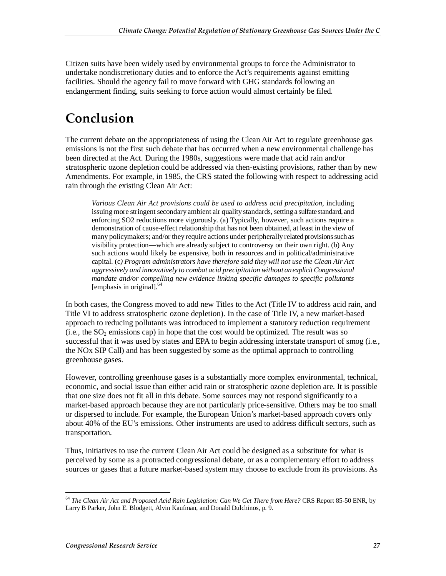Citizen suits have been widely used by environmental groups to force the Administrator to undertake nondiscretionary duties and to enforce the Act's requirements against emitting facilities. Should the agency fail to move forward with GHG standards following an endangerment finding, suits seeking to force action would almost certainly be filed.

## **Conclusion**

The current debate on the appropriateness of using the Clean Air Act to regulate greenhouse gas emissions is not the first such debate that has occurred when a new environmental challenge has been directed at the Act. During the 1980s, suggestions were made that acid rain and/or stratospheric ozone depletion could be addressed via then-existing provisions, rather than by new Amendments. For example, in 1985, the CRS stated the following with respect to addressing acid rain through the existing Clean Air Act:

*Various Clean Air Act provisions could be used to address acid precipitation*, including issuing more stringent secondary ambient air quality standards, setting a sulfate standard, and enforcing SO2 reductions more vigorously. (a) Typically, however, such actions require a demonstration of cause-effect relationship that has not been obtained, at least in the view of many policymakers; and/or they require actions under peripherally related provisions such as visibility protection—which are already subject to controversy on their own right. (b) Any such actions would likely be expensive, both in resources and in political/administrative capital. (c*) Program administrators have therefore said they will not use the Clean Air Act aggressively and innovatively to combat acid precipitation without an explicit Congressional mandate and/or compelling new evidence linking specific damages to specific pollutants*  [emphasis in original]*.* 64

In both cases, the Congress moved to add new Titles to the Act (Title IV to address acid rain, and Title VI to address stratospheric ozone depletion). In the case of Title IV, a new market-based approach to reducing pollutants was introduced to implement a statutory reduction requirement  $(i.e., the SO<sub>2</sub> emissions cap)$  in hope that the cost would be optimized. The result was so successful that it was used by states and EPA to begin addressing interstate transport of smog (i.e., the NOx SIP Call) and has been suggested by some as the optimal approach to controlling greenhouse gases.

However, controlling greenhouse gases is a substantially more complex environmental, technical, economic, and social issue than either acid rain or stratospheric ozone depletion are. It is possible that one size does not fit all in this debate. Some sources may not respond significantly to a market-based approach because they are not particularly price-sensitive. Others may be too small or dispersed to include. For example, the European Union's market-based approach covers only about 40% of the EU's emissions. Other instruments are used to address difficult sectors, such as transportation.

Thus, initiatives to use the current Clean Air Act could be designed as a substitute for what is perceived by some as a protracted congressional debate, or as a complementary effort to address sources or gases that a future market-based system may choose to exclude from its provisions. As

-

<sup>64</sup> *The Clean Air Act and Proposed Acid Rain Legislation: Can We Get There from Here?* CRS Report 85-50 ENR, by Larry B Parker, John E. Blodgett, Alvin Kaufman, and Donald Dulchinos, p. 9.